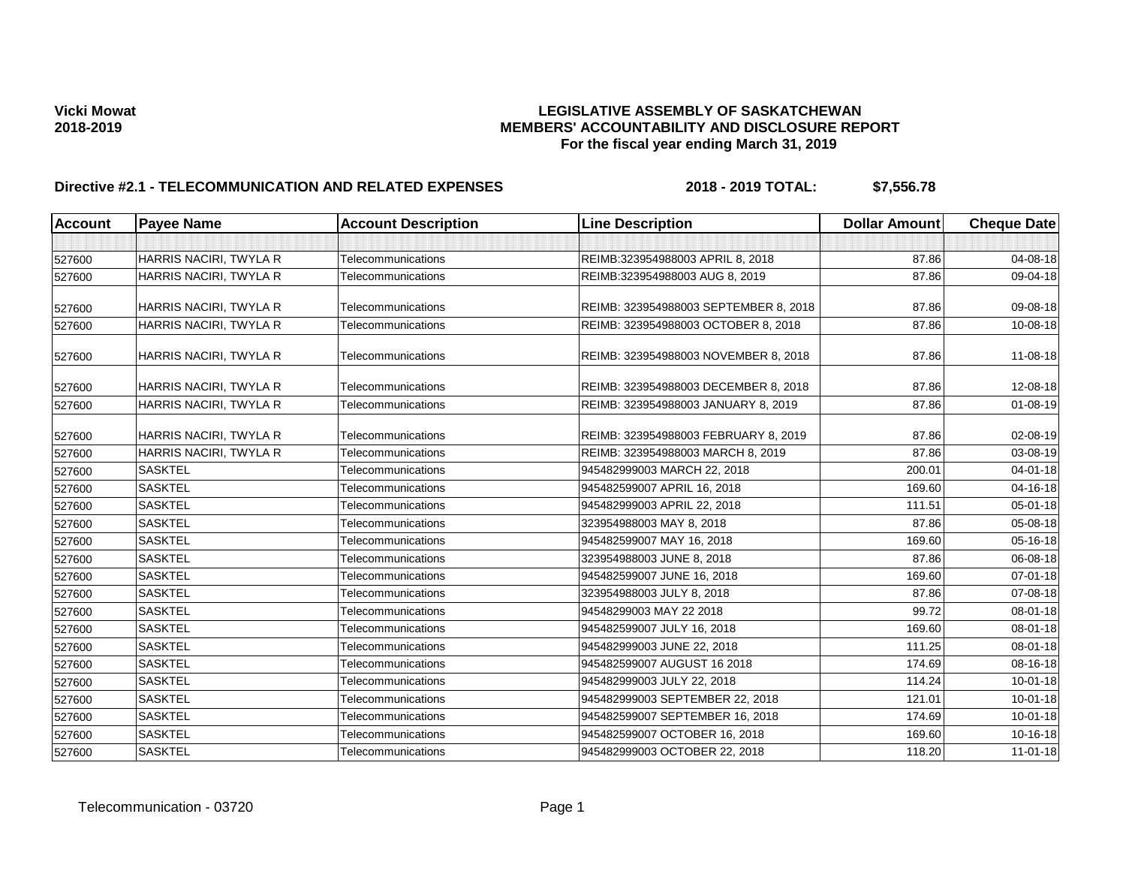| <b>Account</b> | <b>Payee Name</b>      | <b>Account Description</b> | <b>Line Description</b>               | <b>Dollar Amount</b> | <b>Cheque Date</b> |
|----------------|------------------------|----------------------------|---------------------------------------|----------------------|--------------------|
|                |                        |                            |                                       |                      |                    |
| 527600         | HARRIS NACIRI, TWYLA R | Telecommunications         | REIMB:323954988003 APRIL 8, 2018      | 87.86                | 04-08-18           |
| 527600         | HARRIS NACIRI, TWYLA R | Telecommunications         | REIMB:323954988003 AUG 8, 2019        | 87.86                | 09-04-18           |
| 527600         | HARRIS NACIRI, TWYLA R | Telecommunications         | REIMB: 323954988003 SEPTEMBER 8, 2018 | 87.86                | 09-08-18           |
| 527600         | HARRIS NACIRI, TWYLA R | Telecommunications         | REIMB: 323954988003 OCTOBER 8, 2018   | 87.86                | 10-08-18           |
| 527600         | HARRIS NACIRI, TWYLA R | Telecommunications         | REIMB: 323954988003 NOVEMBER 8, 2018  | 87.86                | 11-08-18           |
| 527600         | HARRIS NACIRI, TWYLA R | Telecommunications         | REIMB: 323954988003 DECEMBER 8, 2018  | 87.86                | 12-08-18           |
| 527600         | HARRIS NACIRI, TWYLA R | Telecommunications         | REIMB: 323954988003 JANUARY 8, 2019   | 87.86                | $01 - 08 - 19$     |
| 527600         | HARRIS NACIRI, TWYLA R | Telecommunications         | REIMB: 323954988003 FEBRUARY 8, 2019  | 87.86                | 02-08-19           |
| 527600         | HARRIS NACIRI, TWYLA R | Telecommunications         | REIMB: 323954988003 MARCH 8, 2019     | 87.86                | 03-08-19           |
| 527600         | <b>SASKTEL</b>         | Telecommunications         | 945482999003 MARCH 22, 2018           | 200.01               | $04 - 01 - 18$     |
| 527600         | <b>SASKTEL</b>         | Telecommunications         | 945482599007 APRIL 16, 2018           | 169.60               | 04-16-18           |
| 527600         | <b>SASKTEL</b>         | Telecommunications         | 945482999003 APRIL 22, 2018           | 111.51               | 05-01-18           |
| 527600         | <b>SASKTEL</b>         | Telecommunications         | 323954988003 MAY 8, 2018              | 87.86                | 05-08-18           |
| 527600         | <b>SASKTEL</b>         | Telecommunications         | 945482599007 MAY 16, 2018             | 169.60               | 05-16-18           |
| 527600         | <b>SASKTEL</b>         | Telecommunications         | 323954988003 JUNE 8, 2018             | 87.86                | 06-08-18           |
| 527600         | <b>SASKTEL</b>         | Telecommunications         | 945482599007 JUNE 16, 2018            | 169.60               | 07-01-18           |
| 527600         | <b>SASKTEL</b>         | Telecommunications         | 323954988003 JULY 8, 2018             | 87.86                | 07-08-18           |
| 527600         | <b>SASKTEL</b>         | Telecommunications         | 94548299003 MAY 22 2018               | 99.72                | 08-01-18           |
| 527600         | <b>SASKTEL</b>         | Telecommunications         | 945482599007 JULY 16, 2018            | 169.60               | $08 - 01 - 18$     |
| 527600         | <b>SASKTEL</b>         | Telecommunications         | 945482999003 JUNE 22, 2018            | 111.25               | 08-01-18           |
| 527600         | <b>SASKTEL</b>         | Telecommunications         | 945482599007 AUGUST 16 2018           | 174.69               | 08-16-18           |
| 527600         | <b>SASKTEL</b>         | Telecommunications         | 945482999003 JULY 22, 2018            | 114.24               | $10 - 01 - 18$     |
| 527600         | <b>SASKTEL</b>         | Telecommunications         | 945482999003 SEPTEMBER 22, 2018       | 121.01               | $10 - 01 - 18$     |
| 527600         | <b>SASKTEL</b>         | Telecommunications         | 945482599007 SEPTEMBER 16, 2018       | 174.69               | $10 - 01 - 18$     |
| 527600         | <b>SASKTEL</b>         | Telecommunications         | 945482599007 OCTOBER 16, 2018         | 169.60               | 10-16-18           |
| 527600         | <b>SASKTEL</b>         | Telecommunications         | 945482999003 OCTOBER 22, 2018         | 118.20               | $11-01-18$         |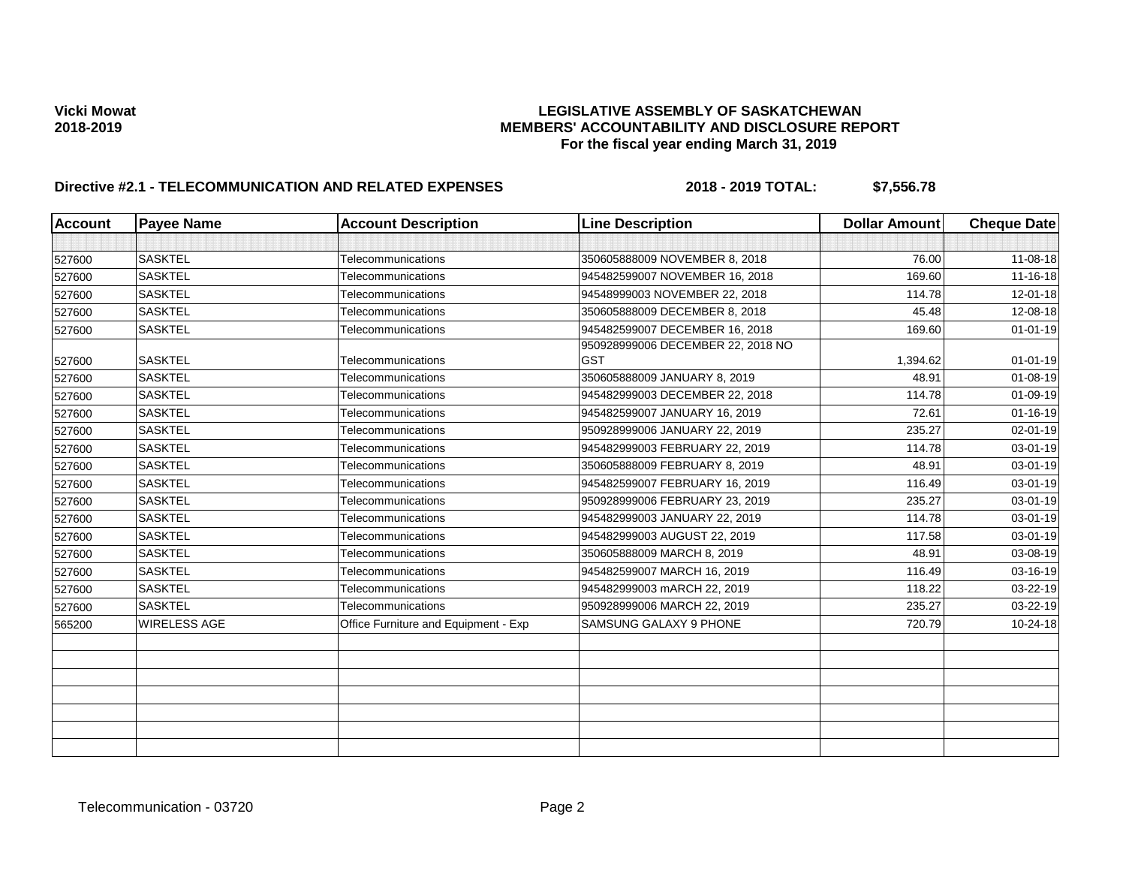| <b>Account</b> | <b>Payee Name</b>   | <b>Account Description</b>           | <b>Line Description</b>                         | <b>Dollar Amount</b> | <b>Cheque Date</b> |
|----------------|---------------------|--------------------------------------|-------------------------------------------------|----------------------|--------------------|
|                |                     |                                      |                                                 |                      |                    |
| 527600         | <b>SASKTEL</b>      | Telecommunications                   | 350605888009 NOVEMBER 8, 2018                   | 76.00                | 11-08-18           |
| 527600         | <b>SASKTEL</b>      | Telecommunications                   | 945482599007 NOVEMBER 16, 2018                  | 169.60               | 11-16-18           |
| 527600         | <b>SASKTEL</b>      | Telecommunications                   | 94548999003 NOVEMBER 22, 2018                   | 114.78               | $12 - 01 - 18$     |
| 527600         | <b>SASKTEL</b>      | Telecommunications                   | 350605888009 DECEMBER 8, 2018                   | 45.48                | 12-08-18           |
| 527600         | <b>SASKTEL</b>      | Telecommunications                   | 945482599007 DECEMBER 16, 2018                  | 169.60               | $01 - 01 - 19$     |
| 527600         | <b>SASKTEL</b>      | Telecommunications                   | 950928999006 DECEMBER 22, 2018 NO<br><b>GST</b> | 1,394.62             | $01 - 01 - 19$     |
| 527600         | <b>SASKTEL</b>      | Telecommunications                   | 350605888009 JANUARY 8, 2019                    | 48.91                | $01 - 08 - 19$     |
| 527600         | <b>SASKTEL</b>      | Telecommunications                   | 945482999003 DECEMBER 22, 2018                  | 114.78               | $01 - 09 - 19$     |
| 527600         | <b>SASKTEL</b>      | Telecommunications                   | 945482599007 JANUARY 16, 2019                   | 72.61                | $01 - 16 - 19$     |
| 527600         | <b>SASKTEL</b>      | Telecommunications                   | 950928999006 JANUARY 22, 2019                   | 235.27               | $02 - 01 - 19$     |
| 527600         | <b>SASKTEL</b>      | Telecommunications                   | 945482999003 FEBRUARY 22, 2019                  | 114.78               | $03 - 01 - 19$     |
| 527600         | <b>SASKTEL</b>      | Telecommunications                   | 350605888009 FEBRUARY 8, 2019                   | 48.91                | 03-01-19           |
| 527600         | <b>SASKTEL</b>      | Telecommunications                   | 945482599007 FEBRUARY 16, 2019                  | 116.49               | 03-01-19           |
| 527600         | <b>SASKTEL</b>      | Telecommunications                   | 950928999006 FEBRUARY 23, 2019                  | 235.27               | 03-01-19           |
| 527600         | <b>SASKTEL</b>      | Telecommunications                   | 945482999003 JANUARY 22, 2019                   | 114.78               | 03-01-19           |
| 527600         | <b>SASKTEL</b>      | Telecommunications                   | 945482999003 AUGUST 22, 2019                    | 117.58               | 03-01-19           |
| 527600         | <b>SASKTEL</b>      | Telecommunications                   | 350605888009 MARCH 8, 2019                      | 48.91                | 03-08-19           |
| 527600         | <b>SASKTEL</b>      | Telecommunications                   | 945482599007 MARCH 16, 2019                     | 116.49               | 03-16-19           |
| 527600         | <b>SASKTEL</b>      | Telecommunications                   | 945482999003 mARCH 22, 2019                     | 118.22               | 03-22-19           |
| 527600         | <b>SASKTEL</b>      | Telecommunications                   | 950928999006 MARCH 22, 2019                     | 235.27               | 03-22-19           |
| 565200         | <b>WIRELESS AGE</b> | Office Furniture and Equipment - Exp | SAMSUNG GALAXY 9 PHONE                          | 720.79               | 10-24-18           |
|                |                     |                                      |                                                 |                      |                    |
|                |                     |                                      |                                                 |                      |                    |
|                |                     |                                      |                                                 |                      |                    |
|                |                     |                                      |                                                 |                      |                    |
|                |                     |                                      |                                                 |                      |                    |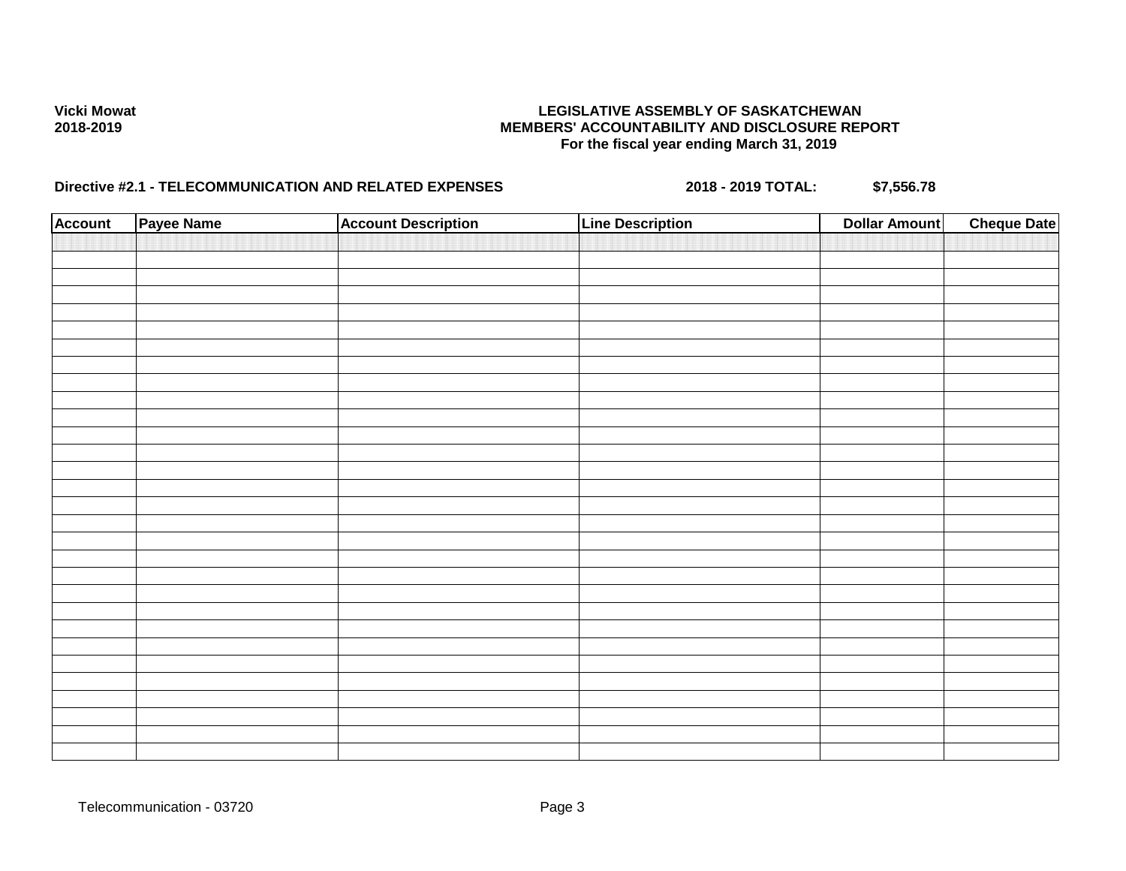| <b>Account</b> | Payee Name | <b>Account Description</b> | <b>Line Description</b> | <b>Dollar Amount</b> | <b>Cheque Date</b> |
|----------------|------------|----------------------------|-------------------------|----------------------|--------------------|
|                |            |                            |                         |                      |                    |
|                |            |                            |                         |                      |                    |
|                |            |                            |                         |                      |                    |
|                |            |                            |                         |                      |                    |
|                |            |                            |                         |                      |                    |
|                |            |                            |                         |                      |                    |
|                |            |                            |                         |                      |                    |
|                |            |                            |                         |                      |                    |
|                |            |                            |                         |                      |                    |
|                |            |                            |                         |                      |                    |
|                |            |                            |                         |                      |                    |
|                |            |                            |                         |                      |                    |
|                |            |                            |                         |                      |                    |
|                |            |                            |                         |                      |                    |
|                |            |                            |                         |                      |                    |
|                |            |                            |                         |                      |                    |
|                |            |                            |                         |                      |                    |
|                |            |                            |                         |                      |                    |
|                |            |                            |                         |                      |                    |
|                |            |                            |                         |                      |                    |
|                |            |                            |                         |                      |                    |
|                |            |                            |                         |                      |                    |
|                |            |                            |                         |                      |                    |
|                |            |                            |                         |                      |                    |
|                |            |                            |                         |                      |                    |
|                |            |                            |                         |                      |                    |
|                |            |                            |                         |                      |                    |
|                |            |                            |                         |                      |                    |
|                |            |                            |                         |                      |                    |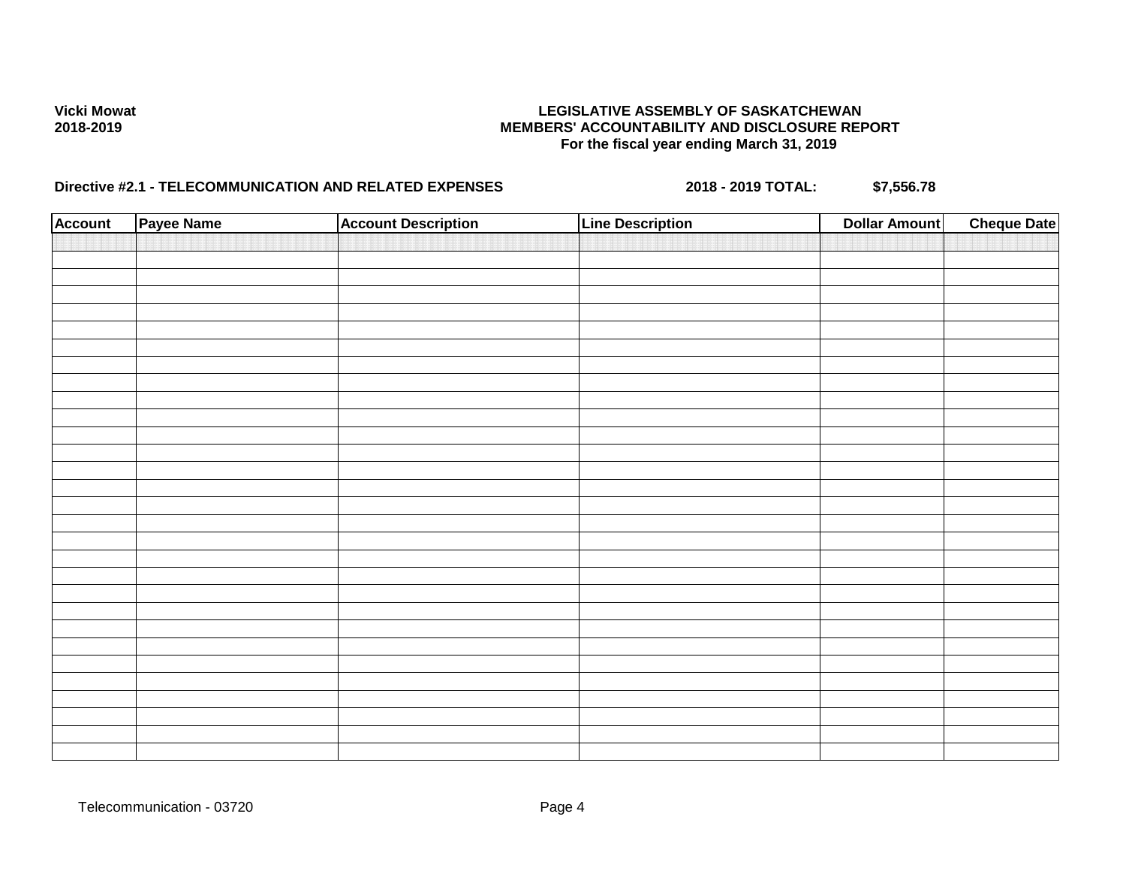| <b>Account</b> | Payee Name | <b>Account Description</b> | <b>Line Description</b> | <b>Dollar Amount</b> | <b>Cheque Date</b> |
|----------------|------------|----------------------------|-------------------------|----------------------|--------------------|
|                |            |                            |                         |                      |                    |
|                |            |                            |                         |                      |                    |
|                |            |                            |                         |                      |                    |
|                |            |                            |                         |                      |                    |
|                |            |                            |                         |                      |                    |
|                |            |                            |                         |                      |                    |
|                |            |                            |                         |                      |                    |
|                |            |                            |                         |                      |                    |
|                |            |                            |                         |                      |                    |
|                |            |                            |                         |                      |                    |
|                |            |                            |                         |                      |                    |
|                |            |                            |                         |                      |                    |
|                |            |                            |                         |                      |                    |
|                |            |                            |                         |                      |                    |
|                |            |                            |                         |                      |                    |
|                |            |                            |                         |                      |                    |
|                |            |                            |                         |                      |                    |
|                |            |                            |                         |                      |                    |
|                |            |                            |                         |                      |                    |
|                |            |                            |                         |                      |                    |
|                |            |                            |                         |                      |                    |
|                |            |                            |                         |                      |                    |
|                |            |                            |                         |                      |                    |
|                |            |                            |                         |                      |                    |
|                |            |                            |                         |                      |                    |
|                |            |                            |                         |                      |                    |
|                |            |                            |                         |                      |                    |
|                |            |                            |                         |                      |                    |
|                |            |                            |                         |                      |                    |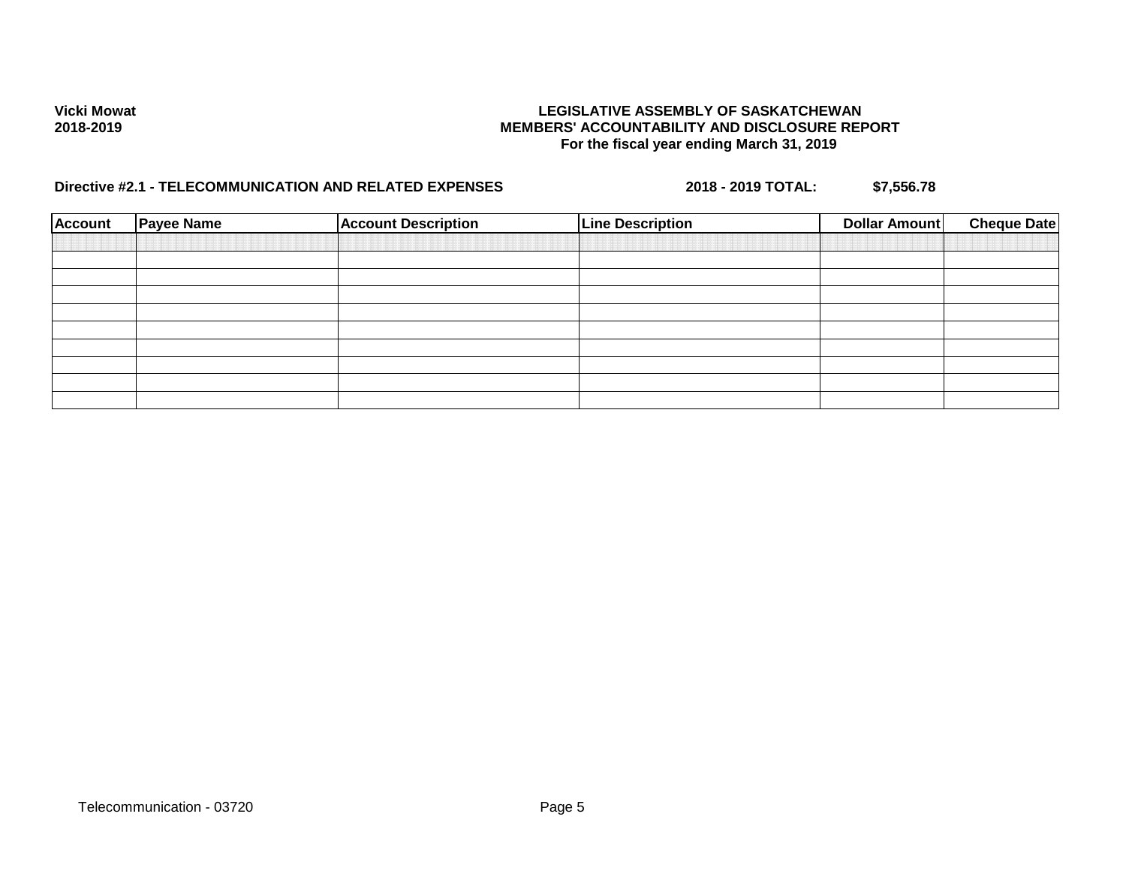| <b>Account</b> | <b>Payee Name</b> | <b>Account Description</b> | <b>Line Description</b> | Dollar Amount | <b>Cheque Date</b> |
|----------------|-------------------|----------------------------|-------------------------|---------------|--------------------|
|                |                   |                            |                         |               |                    |
|                |                   |                            |                         |               |                    |
|                |                   |                            |                         |               |                    |
|                |                   |                            |                         |               |                    |
|                |                   |                            |                         |               |                    |
|                |                   |                            |                         |               |                    |
|                |                   |                            |                         |               |                    |
|                |                   |                            |                         |               |                    |
|                |                   |                            |                         |               |                    |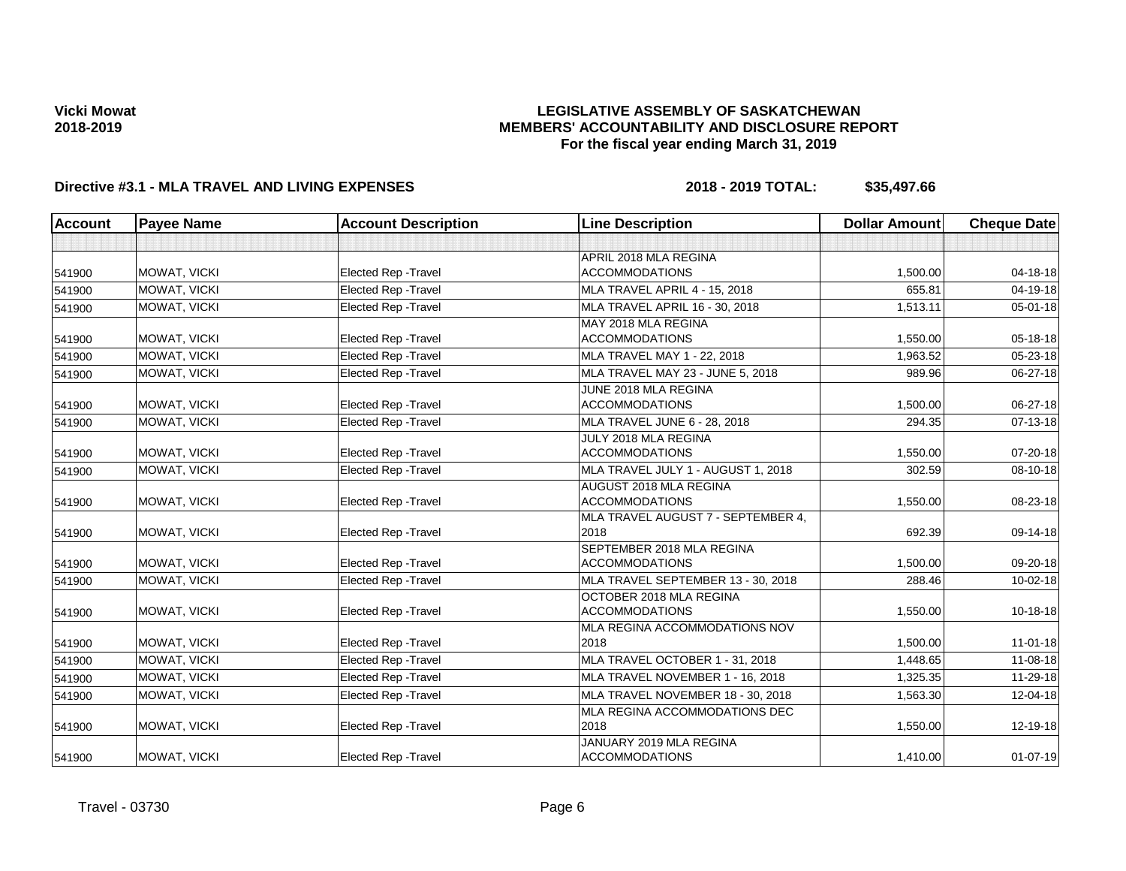### **LEGISLATIVE ASSEMBLY OF SASKATCHEWAN MEMBERS' ACCOUNTABILITY AND DISCLOSURE REPORT For the fiscal year ending March 31, 2019**

| <b>Account</b> | <b>Payee Name</b>   | <b>Account Description</b>  | <b>Line Description</b>                            | <b>Dollar Amount</b> | <b>Cheque Date</b> |
|----------------|---------------------|-----------------------------|----------------------------------------------------|----------------------|--------------------|
|                |                     |                             |                                                    |                      |                    |
| 541900         | MOWAT, VICKI        | <b>Elected Rep - Travel</b> | APRIL 2018 MLA REGINA<br><b>ACCOMMODATIONS</b>     | 1,500.00             | 04-18-18           |
| 541900         | <b>MOWAT. VICKI</b> | <b>Elected Rep - Travel</b> | MLA TRAVEL APRIL 4 - 15, 2018                      | 655.81               | $04 - 19 - 18$     |
| 541900         | MOWAT, VICKI        | Elected Rep - Travel        | MLA TRAVEL APRIL 16 - 30, 2018                     | 1,513.11             | $05 - 01 - 18$     |
| 541900         | MOWAT, VICKI        | <b>Elected Rep - Travel</b> | MAY 2018 MLA REGINA<br><b>ACCOMMODATIONS</b>       | 1,550.00             | 05-18-18           |
| 541900         | MOWAT, VICKI        | Elected Rep - Travel        | MLA TRAVEL MAY 1 - 22, 2018                        | 1,963.52             | $05 - 23 - 18$     |
| 541900         | MOWAT, VICKI        | Elected Rep - Travel        | MLA TRAVEL MAY 23 - JUNE 5, 2018                   | 989.96               | 06-27-18           |
| 541900         | MOWAT, VICKI        | Elected Rep - Travel        | JUNE 2018 MLA REGINA<br><b>ACCOMMODATIONS</b>      | 1,500.00             | 06-27-18           |
| 541900         | <b>MOWAT. VICKI</b> | <b>Elected Rep - Travel</b> | MLA TRAVEL JUNE 6 - 28, 2018                       | 294.35               | 07-13-18           |
| 541900         | MOWAT, VICKI        | <b>Elected Rep - Travel</b> | JULY 2018 MLA REGINA<br><b>ACCOMMODATIONS</b>      | 1,550.00             | $07 - 20 - 18$     |
| 541900         | MOWAT, VICKI        | <b>Elected Rep - Travel</b> | MLA TRAVEL JULY 1 - AUGUST 1, 2018                 | 302.59               | $08 - 10 - 18$     |
| 541900         | MOWAT, VICKI        | Elected Rep - Travel        | AUGUST 2018 MLA REGINA<br><b>ACCOMMODATIONS</b>    | 1,550.00             | $08 - 23 - 18$     |
| 541900         | MOWAT, VICKI        | <b>Elected Rep - Travel</b> | MLA TRAVEL AUGUST 7 - SEPTEMBER 4,<br>2018         | 692.39               | 09-14-18           |
| 541900         | MOWAT, VICKI        | Elected Rep - Travel        | SEPTEMBER 2018 MLA REGINA<br><b>ACCOMMODATIONS</b> | 1.500.00             | 09-20-18           |
| 541900         | <b>MOWAT, VICKI</b> | <b>Elected Rep - Travel</b> | MLA TRAVEL SEPTEMBER 13 - 30, 2018                 | 288.46               | $10 - 02 - 18$     |
| 541900         | <b>MOWAT, VICKI</b> | <b>Elected Rep - Travel</b> | OCTOBER 2018 MLA REGINA<br><b>ACCOMMODATIONS</b>   | 1,550.00             | $10-18-18$         |
| 541900         | MOWAT, VICKI        | Elected Rep - Travel        | MLA REGINA ACCOMMODATIONS NOV<br>2018              | 1,500.00             | $11-01-18$         |
| 541900         | MOWAT, VICKI        | <b>Elected Rep - Travel</b> | MLA TRAVEL OCTOBER 1 - 31, 2018                    | 1,448.65             | $11 - 08 - 18$     |
| 541900         | MOWAT, VICKI        | <b>Elected Rep - Travel</b> | MLA TRAVEL NOVEMBER 1 - 16, 2018                   | 1,325.35             | $11 - 29 - 18$     |
| 541900         | MOWAT, VICKI        | Elected Rep - Travel        | MLA TRAVEL NOVEMBER 18 - 30, 2018                  | 1,563.30             | $12 - 04 - 18$     |
| 541900         | MOWAT, VICKI        | <b>Elected Rep - Travel</b> | <b>MLA REGINA ACCOMMODATIONS DEC</b><br>2018       | 1,550.00             | 12-19-18           |
| 541900         | <b>MOWAT, VICKI</b> | <b>Elected Rep - Travel</b> | JANUARY 2019 MLA REGINA<br><b>ACCOMMODATIONS</b>   | 1,410.00             | $01 - 07 - 19$     |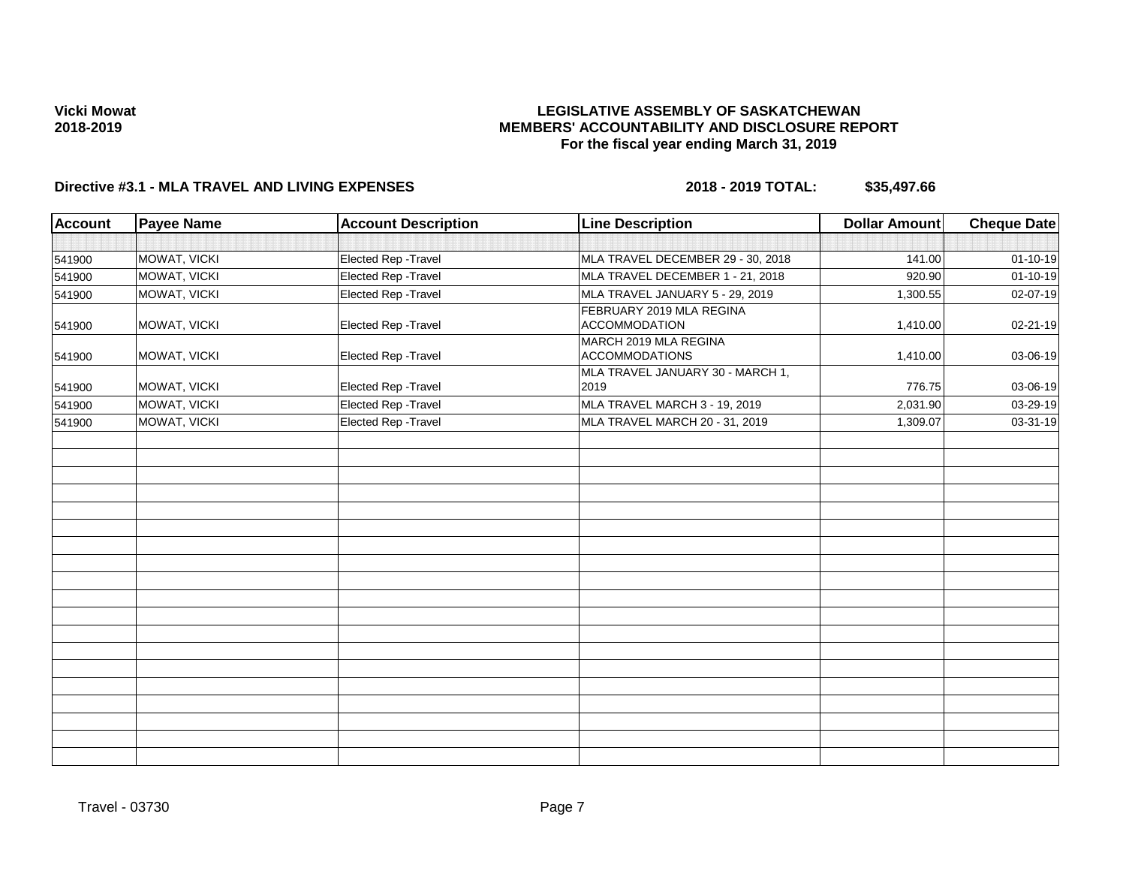### **LEGISLATIVE ASSEMBLY OF SASKATCHEWAN MEMBERS' ACCOUNTABILITY AND DISCLOSURE REPORT For the fiscal year ending March 31, 2019**

| <b>Account</b> | <b>Payee Name</b> | <b>Account Description</b> | <b>Line Description</b>                          | <b>Dollar Amount</b> | <b>Cheque Date</b> |
|----------------|-------------------|----------------------------|--------------------------------------------------|----------------------|--------------------|
|                |                   |                            |                                                  |                      |                    |
| 541900         | MOWAT, VICKI      | Elected Rep - Travel       | MLA TRAVEL DECEMBER 29 - 30, 2018                | 141.00               | $01 - 10 - 19$     |
| 541900         | MOWAT, VICKI      | Elected Rep - Travel       | MLA TRAVEL DECEMBER 1 - 21, 2018                 | 920.90               | $01 - 10 - 19$     |
| 541900         | MOWAT, VICKI      | Elected Rep - Travel       | MLA TRAVEL JANUARY 5 - 29, 2019                  | 1,300.55             | 02-07-19           |
| 541900         | MOWAT, VICKI      | Elected Rep - Travel       | FEBRUARY 2019 MLA REGINA<br><b>ACCOMMODATION</b> | 1,410.00             | 02-21-19           |
| 541900         | MOWAT, VICKI      | Elected Rep - Travel       | MARCH 2019 MLA REGINA<br><b>ACCOMMODATIONS</b>   | 1,410.00             | 03-06-19           |
| 541900         | MOWAT, VICKI      | Elected Rep - Travel       | MLA TRAVEL JANUARY 30 - MARCH 1,<br>2019         | 776.75               | 03-06-19           |
| 541900         | MOWAT, VICKI      | Elected Rep - Travel       | MLA TRAVEL MARCH 3 - 19, 2019                    | 2,031.90             | 03-29-19           |
| 541900         | MOWAT, VICKI      | Elected Rep - Travel       | MLA TRAVEL MARCH 20 - 31, 2019                   | 1,309.07             | 03-31-19           |
|                |                   |                            |                                                  |                      |                    |
|                |                   |                            |                                                  |                      |                    |
|                |                   |                            |                                                  |                      |                    |
|                |                   |                            |                                                  |                      |                    |
|                |                   |                            |                                                  |                      |                    |
|                |                   |                            |                                                  |                      |                    |
|                |                   |                            |                                                  |                      |                    |
|                |                   |                            |                                                  |                      |                    |
|                |                   |                            |                                                  |                      |                    |
|                |                   |                            |                                                  |                      |                    |
|                |                   |                            |                                                  |                      |                    |
|                |                   |                            |                                                  |                      |                    |
|                |                   |                            |                                                  |                      |                    |
|                |                   |                            |                                                  |                      |                    |
|                |                   |                            |                                                  |                      |                    |
|                |                   |                            |                                                  |                      |                    |
|                |                   |                            |                                                  |                      |                    |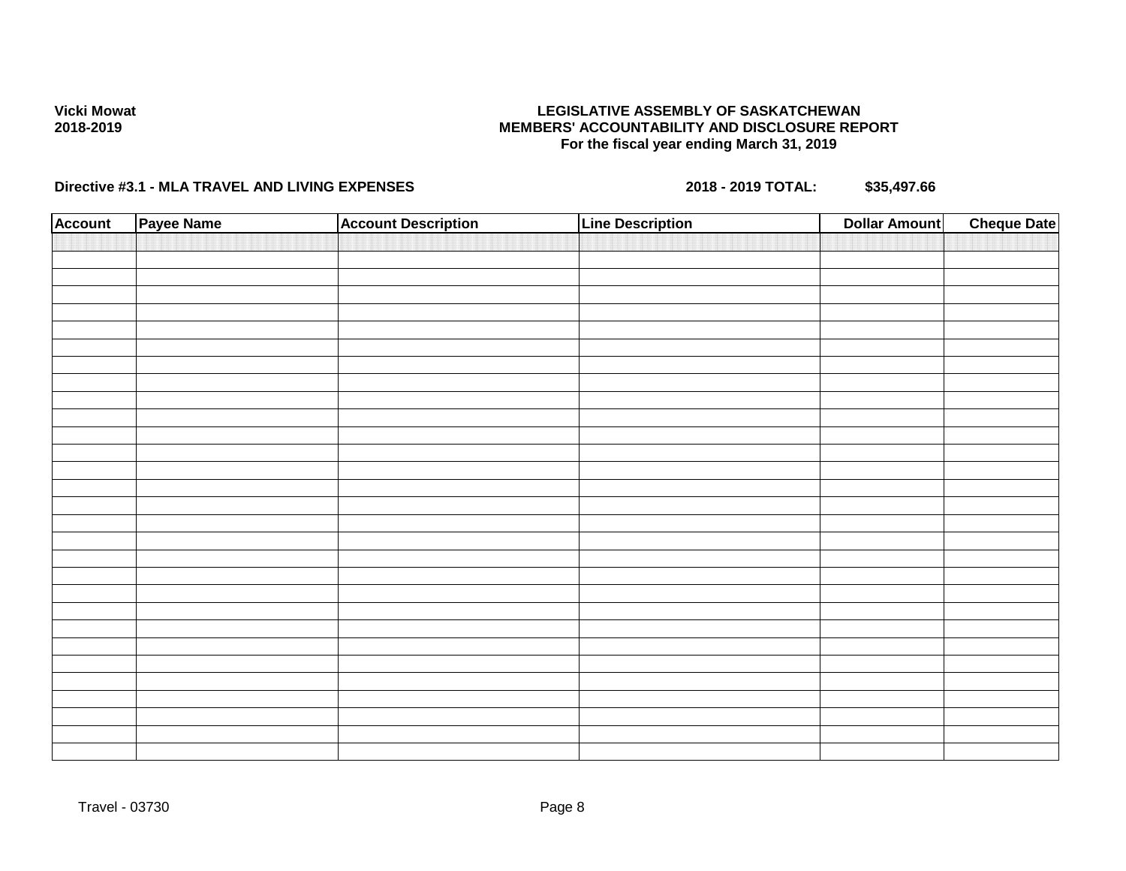### **LEGISLATIVE ASSEMBLY OF SASKATCHEWAN MEMBERS' ACCOUNTABILITY AND DISCLOSURE REPORT For the fiscal year ending March 31, 2019**

| <b>Account</b> | Payee Name | <b>Account Description</b> | <b>Line Description</b> | <b>Dollar Amount</b> | <b>Cheque Date</b> |
|----------------|------------|----------------------------|-------------------------|----------------------|--------------------|
|                |            |                            |                         |                      |                    |
|                |            |                            |                         |                      |                    |
|                |            |                            |                         |                      |                    |
|                |            |                            |                         |                      |                    |
|                |            |                            |                         |                      |                    |
|                |            |                            |                         |                      |                    |
|                |            |                            |                         |                      |                    |
|                |            |                            |                         |                      |                    |
|                |            |                            |                         |                      |                    |
|                |            |                            |                         |                      |                    |
|                |            |                            |                         |                      |                    |
|                |            |                            |                         |                      |                    |
|                |            |                            |                         |                      |                    |
|                |            |                            |                         |                      |                    |
|                |            |                            |                         |                      |                    |
|                |            |                            |                         |                      |                    |
|                |            |                            |                         |                      |                    |
|                |            |                            |                         |                      |                    |
|                |            |                            |                         |                      |                    |
|                |            |                            |                         |                      |                    |
|                |            |                            |                         |                      |                    |
|                |            |                            |                         |                      |                    |
|                |            |                            |                         |                      |                    |
|                |            |                            |                         |                      |                    |
|                |            |                            |                         |                      |                    |
|                |            |                            |                         |                      |                    |
|                |            |                            |                         |                      |                    |
|                |            |                            |                         |                      |                    |
|                |            |                            |                         |                      |                    |
|                |            |                            |                         |                      |                    |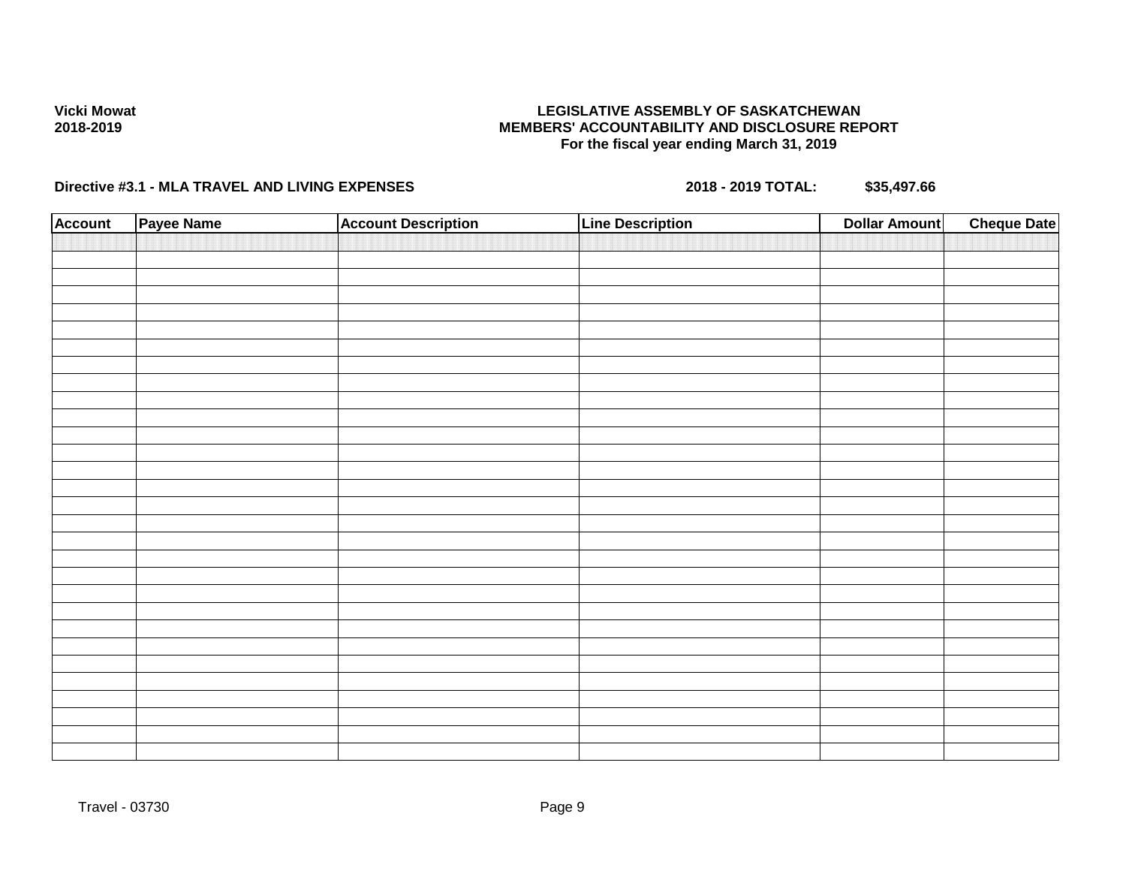### **LEGISLATIVE ASSEMBLY OF SASKATCHEWAN MEMBERS' ACCOUNTABILITY AND DISCLOSURE REPORT For the fiscal year ending March 31, 2019**

| <b>Account</b> | Payee Name | <b>Account Description</b> | <b>Line Description</b> | <b>Cheque Date</b><br><b>Dollar Amount</b> |
|----------------|------------|----------------------------|-------------------------|--------------------------------------------|
|                |            |                            |                         |                                            |
|                |            |                            |                         |                                            |
|                |            |                            |                         |                                            |
|                |            |                            |                         |                                            |
|                |            |                            |                         |                                            |
|                |            |                            |                         |                                            |
|                |            |                            |                         |                                            |
|                |            |                            |                         |                                            |
|                |            |                            |                         |                                            |
|                |            |                            |                         |                                            |
|                |            |                            |                         |                                            |
|                |            |                            |                         |                                            |
|                |            |                            |                         |                                            |
|                |            |                            |                         |                                            |
|                |            |                            |                         |                                            |
|                |            |                            |                         |                                            |
|                |            |                            |                         |                                            |
|                |            |                            |                         |                                            |
|                |            |                            |                         |                                            |
|                |            |                            |                         |                                            |
|                |            |                            |                         |                                            |
|                |            |                            |                         |                                            |
|                |            |                            |                         |                                            |
|                |            |                            |                         |                                            |
|                |            |                            |                         |                                            |
|                |            |                            |                         |                                            |
|                |            |                            |                         |                                            |
|                |            |                            |                         |                                            |
|                |            |                            |                         |                                            |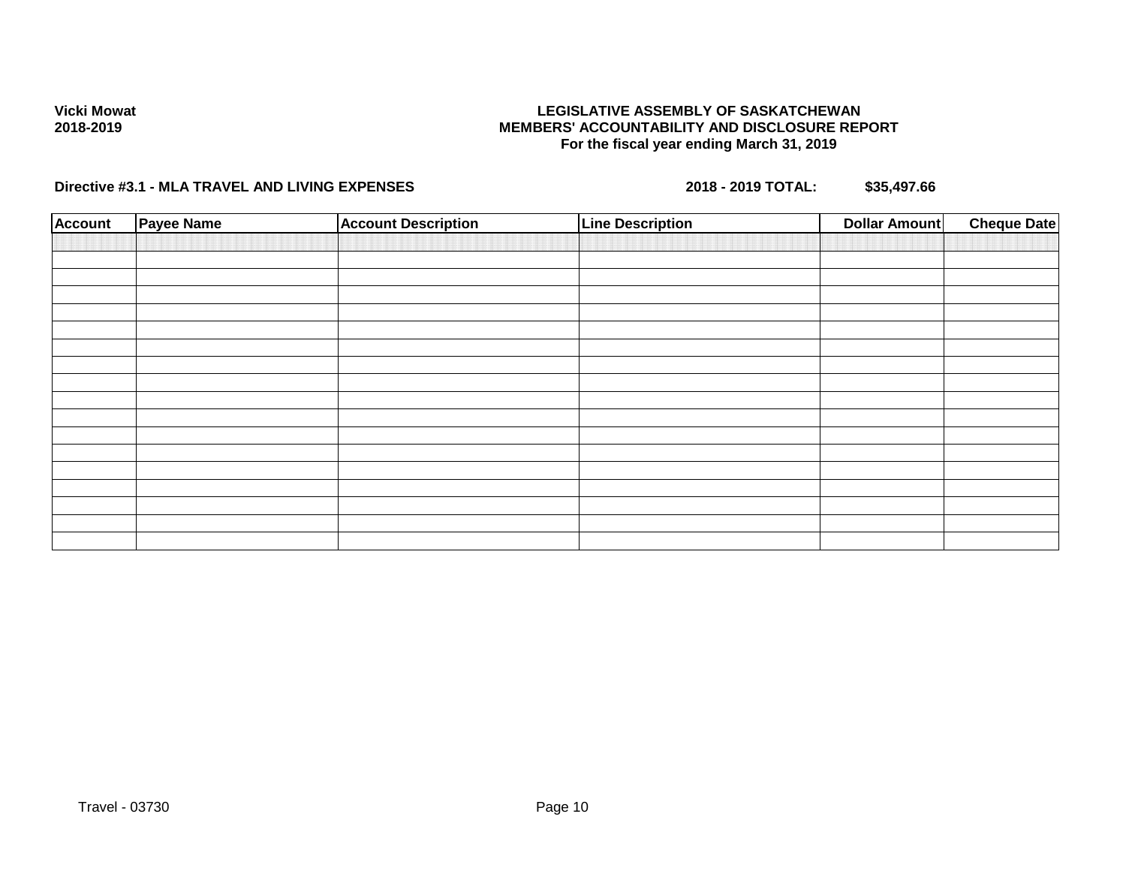### **LEGISLATIVE ASSEMBLY OF SASKATCHEWAN MEMBERS' ACCOUNTABILITY AND DISCLOSURE REPORT For the fiscal year ending March 31, 2019**

| <b>Account</b> | <b>Payee Name</b> | <b>Account Description</b> | <b>Line Description</b> | <b>Dollar Amount</b> | <b>Cheque Date</b> |
|----------------|-------------------|----------------------------|-------------------------|----------------------|--------------------|
|                |                   |                            |                         |                      |                    |
|                |                   |                            |                         |                      |                    |
|                |                   |                            |                         |                      |                    |
|                |                   |                            |                         |                      |                    |
|                |                   |                            |                         |                      |                    |
|                |                   |                            |                         |                      |                    |
|                |                   |                            |                         |                      |                    |
|                |                   |                            |                         |                      |                    |
|                |                   |                            |                         |                      |                    |
|                |                   |                            |                         |                      |                    |
|                |                   |                            |                         |                      |                    |
|                |                   |                            |                         |                      |                    |
|                |                   |                            |                         |                      |                    |
|                |                   |                            |                         |                      |                    |
|                |                   |                            |                         |                      |                    |
|                |                   |                            |                         |                      |                    |
|                |                   |                            |                         |                      |                    |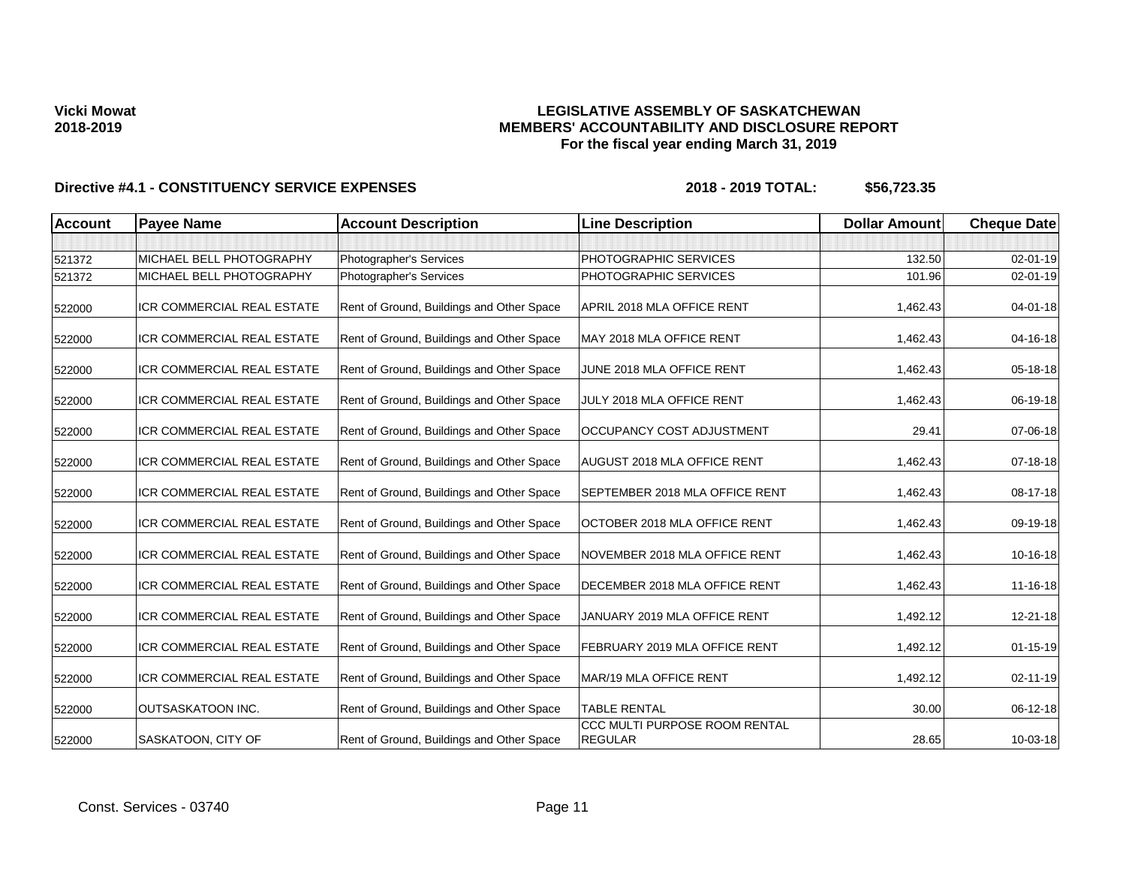## **LEGISLATIVE ASSEMBLY OF SASKATCHEWAN MEMBERS' ACCOUNTABILITY AND DISCLOSURE REPORT For the fiscal year ending March 31, 2019**

| <b>Account</b> | <b>Payee Name</b>                 | <b>Account Description</b>                | <b>Line Description</b>                         | <b>Dollar Amount</b> | <b>Cheque Date</b> |
|----------------|-----------------------------------|-------------------------------------------|-------------------------------------------------|----------------------|--------------------|
|                |                                   |                                           |                                                 |                      |                    |
| 521372         | MICHAEL BELL PHOTOGRAPHY          | Photographer's Services                   | PHOTOGRAPHIC SERVICES                           | 132.50               | $02 - 01 - 19$     |
| 521372         | MICHAEL BELL PHOTOGRAPHY          | Photographer's Services                   | PHOTOGRAPHIC SERVICES                           | 101.96               | 02-01-19           |
| 522000         | ICR COMMERCIAL REAL ESTATE        | Rent of Ground, Buildings and Other Space | APRIL 2018 MLA OFFICE RENT                      | 1,462.43             | 04-01-18           |
| 522000         | ICR COMMERCIAL REAL ESTATE        | Rent of Ground, Buildings and Other Space | MAY 2018 MLA OFFICE RENT                        | 1,462.43             | 04-16-18           |
| 522000         | ICR COMMERCIAL REAL ESTATE        | Rent of Ground, Buildings and Other Space | JUNE 2018 MLA OFFICE RENT                       | 1,462.43             | 05-18-18           |
| 522000         | <b>ICR COMMERCIAL REAL ESTATE</b> | Rent of Ground, Buildings and Other Space | JULY 2018 MLA OFFICE RENT                       | 1,462.43             | 06-19-18           |
| 522000         | ICR COMMERCIAL REAL ESTATE        | Rent of Ground, Buildings and Other Space | OCCUPANCY COST ADJUSTMENT                       | 29.41                | 07-06-18           |
| 522000         | ICR COMMERCIAL REAL ESTATE        | Rent of Ground, Buildings and Other Space | <b>AUGUST 2018 MLA OFFICE RENT</b>              | 1,462.43             | 07-18-18           |
| 522000         | ICR COMMERCIAL REAL ESTATE        | Rent of Ground, Buildings and Other Space | SEPTEMBER 2018 MLA OFFICE RENT                  | 1,462.43             | 08-17-18           |
| 522000         | ICR COMMERCIAL REAL ESTATE        | Rent of Ground, Buildings and Other Space | OCTOBER 2018 MLA OFFICE RENT                    | 1,462.43             | 09-19-18           |
| 522000         | <b>ICR COMMERCIAL REAL ESTATE</b> | Rent of Ground, Buildings and Other Space | NOVEMBER 2018 MLA OFFICE RENT                   | 1,462.43             | 10-16-18           |
| 522000         | ICR COMMERCIAL REAL ESTATE        | Rent of Ground, Buildings and Other Space | DECEMBER 2018 MLA OFFICE RENT                   | 1,462.43             | 11-16-18           |
| 522000         | <b>ICR COMMERCIAL REAL ESTATE</b> | Rent of Ground, Buildings and Other Space | JANUARY 2019 MLA OFFICE RENT                    | 1,492.12             | 12-21-18           |
| 522000         | ICR COMMERCIAL REAL ESTATE        | Rent of Ground, Buildings and Other Space | FEBRUARY 2019 MLA OFFICE RENT                   | 1,492.12             | $01 - 15 - 19$     |
| 522000         | ICR COMMERCIAL REAL ESTATE        | Rent of Ground, Buildings and Other Space | MAR/19 MLA OFFICE RENT                          | 1,492.12             | 02-11-19           |
| 522000         | <b>OUTSASKATOON INC.</b>          | Rent of Ground, Buildings and Other Space | <b>TABLE RENTAL</b>                             | 30.00                | 06-12-18           |
| 522000         | SASKATOON, CITY OF                | Rent of Ground, Buildings and Other Space | CCC MULTI PURPOSE ROOM RENTAL<br><b>REGULAR</b> | 28.65                | 10-03-18           |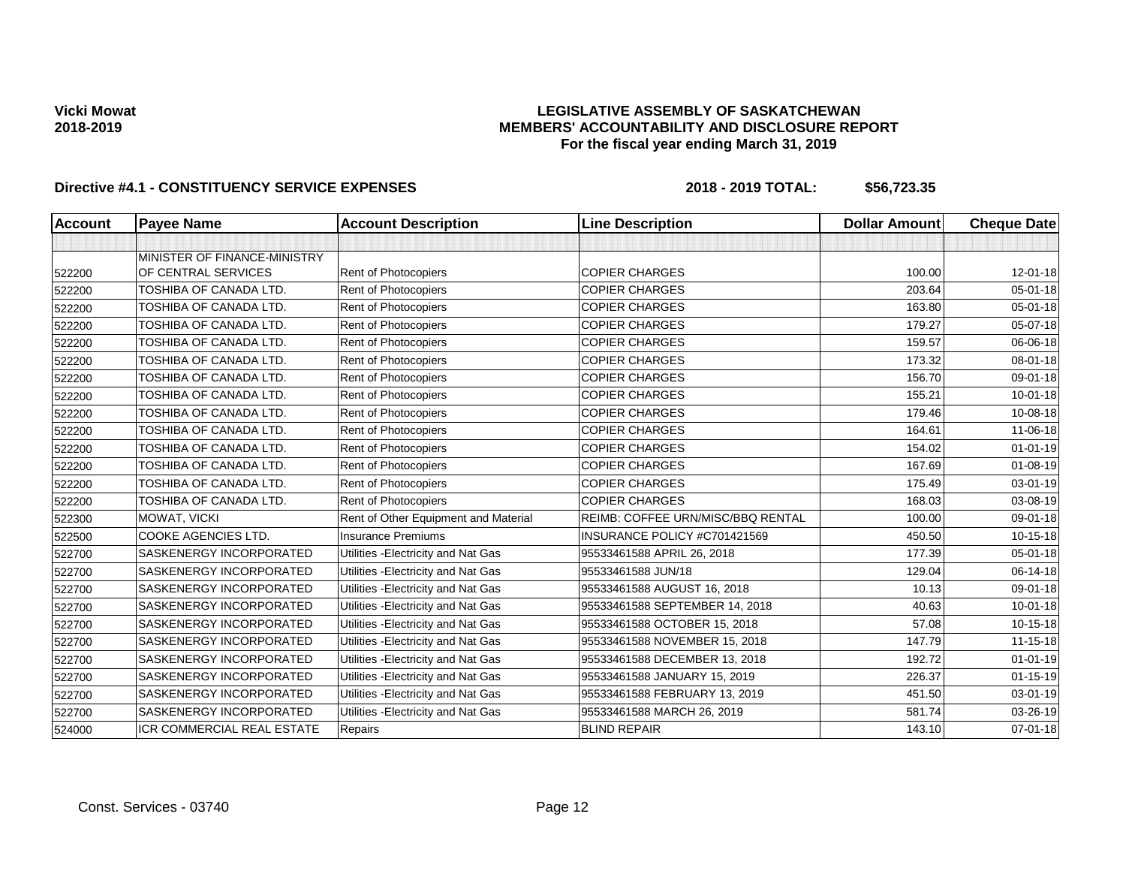### **LEGISLATIVE ASSEMBLY OF SASKATCHEWAN MEMBERS' ACCOUNTABILITY AND DISCLOSURE REPORT For the fiscal year ending March 31, 2019**

| <b>Account</b> | <b>Payee Name</b>            | <b>Account Description</b>           | <b>Line Description</b>           | <b>Dollar Amount</b> | <b>Cheque Date</b> |
|----------------|------------------------------|--------------------------------------|-----------------------------------|----------------------|--------------------|
|                |                              |                                      |                                   |                      |                    |
|                | MINISTER OF FINANCE-MINISTRY |                                      |                                   |                      |                    |
| 522200         | OF CENTRAL SERVICES          | Rent of Photocopiers                 | <b>COPIER CHARGES</b>             | 100.00               | $12 - 01 - 18$     |
| 522200         | TOSHIBA OF CANADA LTD.       | Rent of Photocopiers                 | <b>COPIER CHARGES</b>             | 203.64               | $05 - 01 - 18$     |
| 522200         | TOSHIBA OF CANADA LTD.       | Rent of Photocopiers                 | <b>COPIER CHARGES</b>             | 163.80               | $05 - 01 - 18$     |
| 522200         | TOSHIBA OF CANADA LTD.       | Rent of Photocopiers                 | <b>COPIER CHARGES</b>             | 179.27               | 05-07-18           |
| 522200         | TOSHIBA OF CANADA LTD.       | Rent of Photocopiers                 | <b>COPIER CHARGES</b>             | 159.57               | 06-06-18           |
| 522200         | TOSHIBA OF CANADA LTD.       | Rent of Photocopiers                 | <b>COPIER CHARGES</b>             | 173.32               | 08-01-18           |
| 522200         | TOSHIBA OF CANADA LTD.       | Rent of Photocopiers                 | <b>COPIER CHARGES</b>             | 156.70               | 09-01-18           |
| 522200         | TOSHIBA OF CANADA LTD.       | Rent of Photocopiers                 | <b>COPIER CHARGES</b>             | 155.21               | $10 - 01 - 18$     |
| 522200         | TOSHIBA OF CANADA LTD.       | Rent of Photocopiers                 | <b>COPIER CHARGES</b>             | 179.46               | 10-08-18           |
| 522200         | TOSHIBA OF CANADA LTD.       | Rent of Photocopiers                 | <b>COPIER CHARGES</b>             | 164.61               | 11-06-18           |
| 522200         | TOSHIBA OF CANADA LTD.       | Rent of Photocopiers                 | <b>COPIER CHARGES</b>             | 154.02               | $01 - 01 - 19$     |
| 522200         | TOSHIBA OF CANADA LTD.       | Rent of Photocopiers                 | <b>COPIER CHARGES</b>             | 167.69               | $01 - 08 - 19$     |
| 522200         | TOSHIBA OF CANADA LTD.       | Rent of Photocopiers                 | <b>COPIER CHARGES</b>             | 175.49               | $03 - 01 - 19$     |
| 522200         | TOSHIBA OF CANADA LTD.       | Rent of Photocopiers                 | <b>COPIER CHARGES</b>             | 168.03               | 03-08-19           |
| 522300         | MOWAT, VICKI                 | Rent of Other Equipment and Material | REIMB: COFFEE URN/MISC/BBQ RENTAL | 100.00               | 09-01-18           |
| 522500         | COOKE AGENCIES LTD.          | <b>Insurance Premiums</b>            | INSURANCE POLICY #C701421569      | 450.50               | $10-15-18$         |
| 522700         | SASKENERGY INCORPORATED      | Utilities - Electricity and Nat Gas  | 95533461588 APRIL 26, 2018        | 177.39               | $05 - 01 - 18$     |
| 522700         | SASKENERGY INCORPORATED      | Utilities - Electricity and Nat Gas  | 95533461588 JUN/18                | 129.04               | 06-14-18           |
| 522700         | SASKENERGY INCORPORATED      | Utilities - Electricity and Nat Gas  | 95533461588 AUGUST 16, 2018       | 10.13                | 09-01-18           |
| 522700         | SASKENERGY INCORPORATED      | Utilities - Electricity and Nat Gas  | 95533461588 SEPTEMBER 14, 2018    | 40.63                | $10 - 01 - 18$     |
| 522700         | SASKENERGY INCORPORATED      | Utilities - Electricity and Nat Gas  | 95533461588 OCTOBER 15, 2018      | 57.08                | $10-15-18$         |
| 522700         | SASKENERGY INCORPORATED      | Utilities - Electricity and Nat Gas  | 95533461588 NOVEMBER 15, 2018     | 147.79               | 11-15-18           |
| 522700         | SASKENERGY INCORPORATED      | Utilities - Electricity and Nat Gas  | 95533461588 DECEMBER 13, 2018     | 192.72               | $01 - 01 - 19$     |
| 522700         | SASKENERGY INCORPORATED      | Utilities - Electricity and Nat Gas  | 95533461588 JANUARY 15, 2019      | 226.37               | $01 - 15 - 19$     |
| 522700         | SASKENERGY INCORPORATED      | Utilities - Electricity and Nat Gas  | 95533461588 FEBRUARY 13, 2019     | 451.50               | 03-01-19           |
| 522700         | SASKENERGY INCORPORATED      | Utilities - Electricity and Nat Gas  | 95533461588 MARCH 26, 2019        | 581.74               | 03-26-19           |
| 524000         | ICR COMMERCIAL REAL ESTATE   | Repairs                              | <b>BLIND REPAIR</b>               | 143.10               | $07 - 01 - 18$     |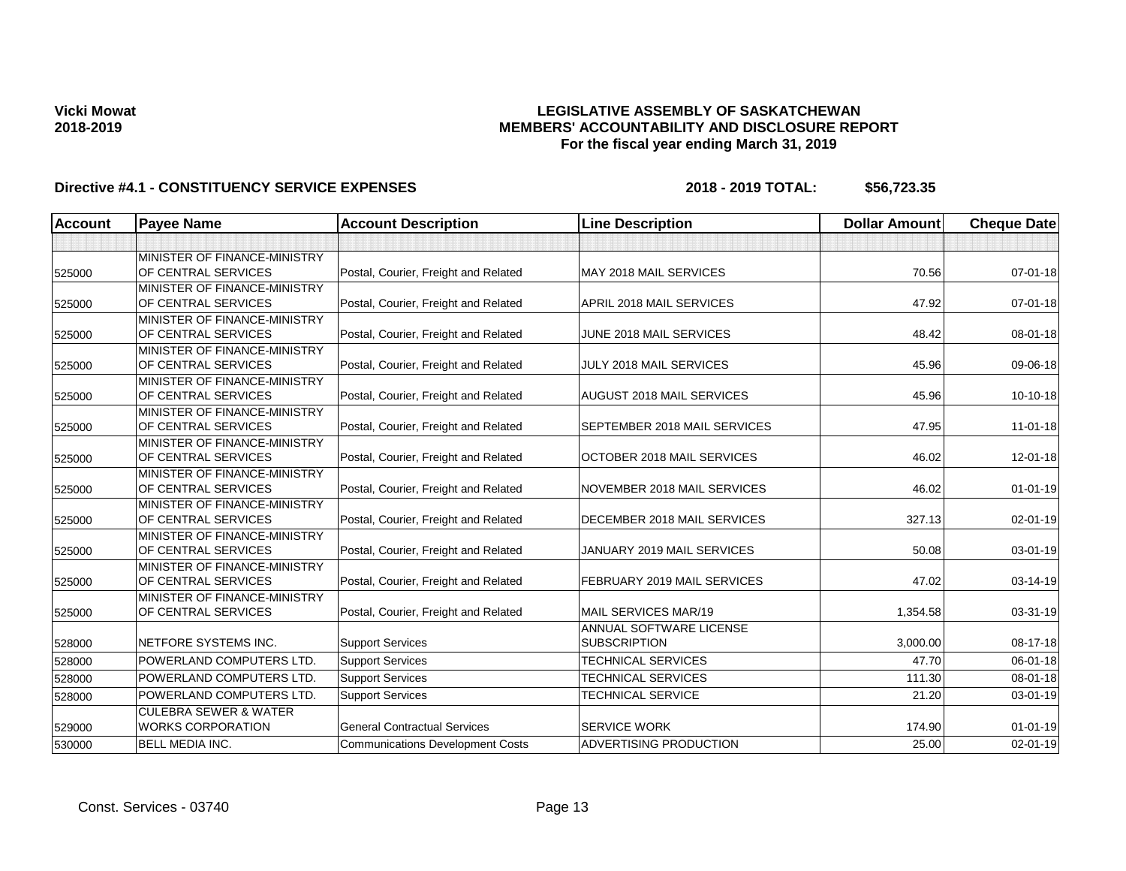## **LEGISLATIVE ASSEMBLY OF SASKATCHEWAN MEMBERS' ACCOUNTABILITY AND DISCLOSURE REPORT For the fiscal year ending March 31, 2019**

| <b>Account</b> | <b>Payee Name</b>                                            | <b>Account Description</b>              | <b>Line Description</b>                        | <b>Dollar Amount</b> | <b>Cheque Date</b> |
|----------------|--------------------------------------------------------------|-----------------------------------------|------------------------------------------------|----------------------|--------------------|
|                |                                                              |                                         |                                                |                      |                    |
| 525000         | MINISTER OF FINANCE-MINISTRY<br>OF CENTRAL SERVICES          | Postal, Courier, Freight and Related    | MAY 2018 MAIL SERVICES                         | 70.56                | $07 - 01 - 18$     |
|                | MINISTER OF FINANCE-MINISTRY                                 |                                         |                                                |                      |                    |
| 525000         | OF CENTRAL SERVICES                                          | Postal, Courier, Freight and Related    | APRIL 2018 MAIL SERVICES                       | 47.92                | $07 - 01 - 18$     |
| 525000         | MINISTER OF FINANCE-MINISTRY<br>OF CENTRAL SERVICES          | Postal, Courier, Freight and Related    | JUNE 2018 MAIL SERVICES                        | 48.42                | 08-01-18           |
| 525000         | <b>IMINISTER OF FINANCE-MINISTRY</b><br>OF CENTRAL SERVICES  | Postal, Courier, Freight and Related    | JULY 2018 MAIL SERVICES                        | 45.96                | 09-06-18           |
| 525000         | MINISTER OF FINANCE-MINISTRY<br>OF CENTRAL SERVICES          | Postal, Courier, Freight and Related    | AUGUST 2018 MAIL SERVICES                      | 45.96                | 10-10-18           |
| 525000         | MINISTER OF FINANCE-MINISTRY<br>OF CENTRAL SERVICES          | Postal, Courier, Freight and Related    | SEPTEMBER 2018 MAIL SERVICES                   | 47.95                | $11 - 01 - 18$     |
| 525000         | MINISTER OF FINANCE-MINISTRY<br>OF CENTRAL SERVICES          | Postal, Courier, Freight and Related    | OCTOBER 2018 MAIL SERVICES                     | 46.02                | $12 - 01 - 18$     |
| 525000         | MINISTER OF FINANCE-MINISTRY<br>OF CENTRAL SERVICES          | Postal, Courier, Freight and Related    | NOVEMBER 2018 MAIL SERVICES                    | 46.02                | $01 - 01 - 19$     |
| 525000         | MINISTER OF FINANCE-MINISTRY<br>OF CENTRAL SERVICES          | Postal, Courier, Freight and Related    | DECEMBER 2018 MAIL SERVICES                    | 327.13               | 02-01-19           |
| 525000         | MINISTER OF FINANCE-MINISTRY<br>OF CENTRAL SERVICES          | Postal, Courier, Freight and Related    | JANUARY 2019 MAIL SERVICES                     | 50.08                | 03-01-19           |
| 525000         | MINISTER OF FINANCE-MINISTRY<br>OF CENTRAL SERVICES          | Postal, Courier, Freight and Related    | FEBRUARY 2019 MAIL SERVICES                    | 47.02                | 03-14-19           |
| 525000         | MINISTER OF FINANCE-MINISTRY<br>OF CENTRAL SERVICES          | Postal, Courier, Freight and Related    | MAIL SERVICES MAR/19                           | 1.354.58             | 03-31-19           |
| 528000         | NETFORE SYSTEMS INC.                                         | <b>Support Services</b>                 | ANNUAL SOFTWARE LICENSE<br><b>SUBSCRIPTION</b> | 3,000.00             | 08-17-18           |
| 528000         | <b>POWERLAND COMPUTERS LTD.</b>                              | <b>Support Services</b>                 | <b>TECHNICAL SERVICES</b>                      | 47.70                | 06-01-18           |
| 528000         | POWERLAND COMPUTERS LTD.                                     | <b>Support Services</b>                 | TECHNICAL SERVICES                             | 111.30               | 08-01-18           |
| 528000         | <b>POWERLAND COMPUTERS LTD.</b>                              | <b>Support Services</b>                 | <b>TECHNICAL SERVICE</b>                       | 21.20                | $03 - 01 - 19$     |
| 529000         | <b>CULEBRA SEWER &amp; WATER</b><br><b>WORKS CORPORATION</b> | <b>General Contractual Services</b>     | <b>SERVICE WORK</b>                            | 174.90               | $01 - 01 - 19$     |
| 530000         | <b>BELL MEDIA INC.</b>                                       | <b>Communications Development Costs</b> | ADVERTISING PRODUCTION                         | 25.00                | $02 - 01 - 19$     |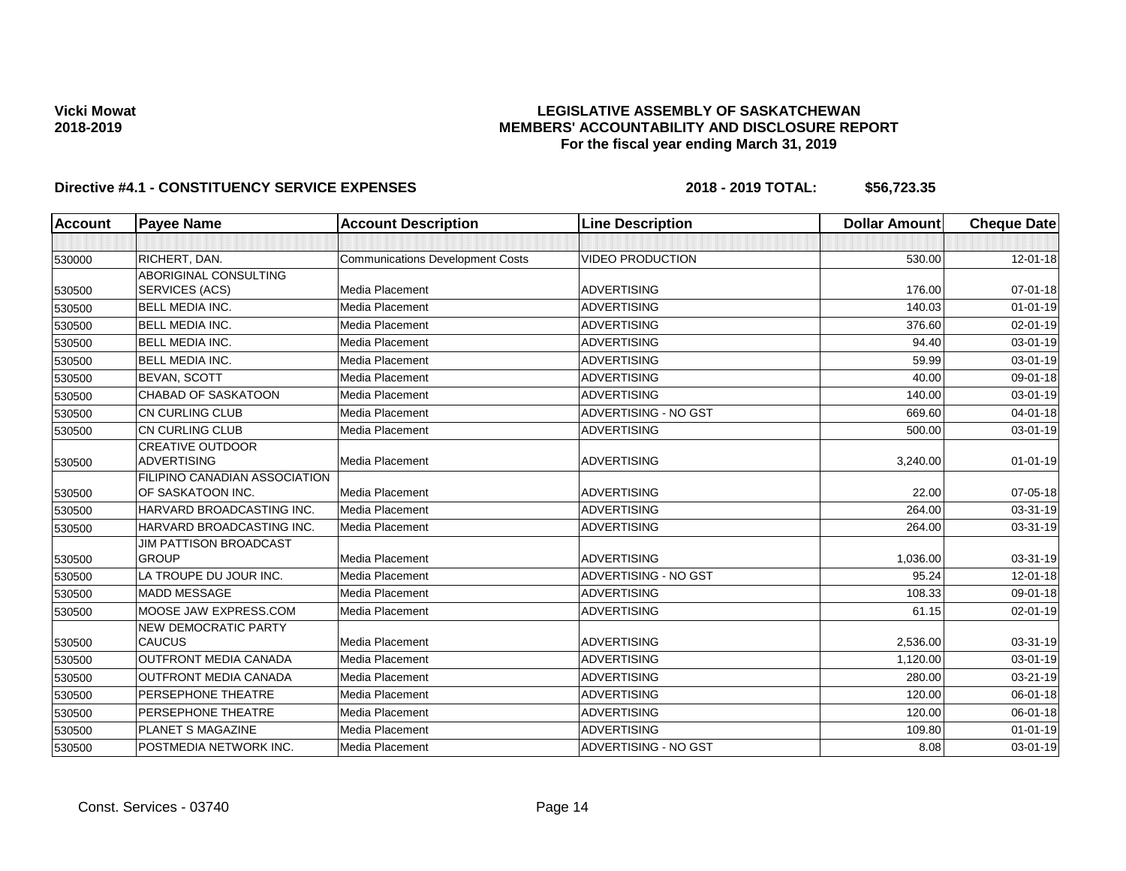## **LEGISLATIVE ASSEMBLY OF SASKATCHEWAN MEMBERS' ACCOUNTABILITY AND DISCLOSURE REPORT For the fiscal year ending March 31, 2019**

| <b>Account</b> | <b>Payee Name</b>                             | <b>Account Description</b>              | <b>Line Description</b>     | <b>Dollar Amount</b> | <b>Cheque Date</b> |
|----------------|-----------------------------------------------|-----------------------------------------|-----------------------------|----------------------|--------------------|
|                |                                               |                                         |                             |                      |                    |
| 530000         | RICHERT, DAN.                                 | <b>Communications Development Costs</b> | <b>VIDEO PRODUCTION</b>     | 530.00               | 12-01-18           |
|                | ABORIGINAL CONSULTING                         |                                         |                             |                      |                    |
| 530500         | SERVICES (ACS)                                | Media Placement                         | <b>ADVERTISING</b>          | 176.00               | $07 - 01 - 18$     |
| 530500         | <b>BELL MEDIA INC.</b>                        | Media Placement                         | <b>ADVERTISING</b>          | 140.03               | $01 - 01 - 19$     |
| 530500         | <b>BELL MEDIA INC.</b>                        | Media Placement                         | <b>ADVERTISING</b>          | 376.60               | 02-01-19           |
| 530500         | <b>BELL MEDIA INC.</b>                        | Media Placement                         | <b>ADVERTISING</b>          | 94.40                | 03-01-19           |
| 530500         | <b>BELL MEDIA INC.</b>                        | Media Placement                         | <b>ADVERTISING</b>          | 59.99                | 03-01-19           |
| 530500         | <b>BEVAN, SCOTT</b>                           | Media Placement                         | <b>ADVERTISING</b>          | 40.00                | 09-01-18           |
| 530500         | <b>CHABAD OF SASKATOON</b>                    | Media Placement                         | <b>ADVERTISING</b>          | 140.00               | 03-01-19           |
| 530500         | <b>CN CURLING CLUB</b>                        | Media Placement                         | <b>ADVERTISING - NO GST</b> | 669.60               | $04 - 01 - 18$     |
| 530500         | CN CURLING CLUB                               | Media Placement                         | <b>ADVERTISING</b>          | 500.00               | 03-01-19           |
| 530500         | <b>CREATIVE OUTDOOR</b><br><b>ADVERTISING</b> | Media Placement                         | <b>ADVERTISING</b>          | 3,240.00             | $01 - 01 - 19$     |
|                | FILIPINO CANADIAN ASSOCIATION                 |                                         |                             |                      |                    |
| 530500         | OF SASKATOON INC.                             | Media Placement                         | <b>ADVERTISING</b>          | 22.00                | 07-05-18           |
| 530500         | HARVARD BROADCASTING INC.                     | Media Placement                         | <b>ADVERTISING</b>          | 264.00               | 03-31-19           |
| 530500         | HARVARD BROADCASTING INC.                     | Media Placement                         | <b>ADVERTISING</b>          | 264.00               | 03-31-19           |
| 530500         | <b>JIM PATTISON BROADCAST</b><br><b>GROUP</b> | Media Placement                         | <b>ADVERTISING</b>          | 1,036.00             | 03-31-19           |
| 530500         | LA TROUPE DU JOUR INC.                        | Media Placement                         | ADVERTISING - NO GST        | 95.24                | 12-01-18           |
| 530500         | <b>MADD MESSAGE</b>                           | Media Placement                         | <b>ADVERTISING</b>          | 108.33               | 09-01-18           |
| 530500         | MOOSE JAW EXPRESS.COM                         | Media Placement                         | <b>ADVERTISING</b>          | 61.15                | $02 - 01 - 19$     |
| 530500         | <b>NEW DEMOCRATIC PARTY</b><br><b>CAUCUS</b>  | Media Placement                         | <b>ADVERTISING</b>          | 2,536.00             | 03-31-19           |
| 530500         | <b>OUTFRONT MEDIA CANADA</b>                  | Media Placement                         | <b>ADVERTISING</b>          | 1,120.00             | 03-01-19           |
| 530500         | <b>OUTFRONT MEDIA CANADA</b>                  | Media Placement                         | <b>ADVERTISING</b>          | 280.00               | 03-21-19           |
| 530500         | PERSEPHONE THEATRE                            | Media Placement                         | <b>ADVERTISING</b>          | 120.00               | 06-01-18           |
| 530500         | PERSEPHONE THEATRE                            | Media Placement                         | <b>ADVERTISING</b>          | 120.00               | 06-01-18           |
| 530500         | <b>PLANET S MAGAZINE</b>                      | Media Placement                         | <b>ADVERTISING</b>          | 109.80               | $01 - 01 - 19$     |
| 530500         | POSTMEDIA NETWORK INC.                        | Media Placement                         | ADVERTISING - NO GST        | 8.08                 | 03-01-19           |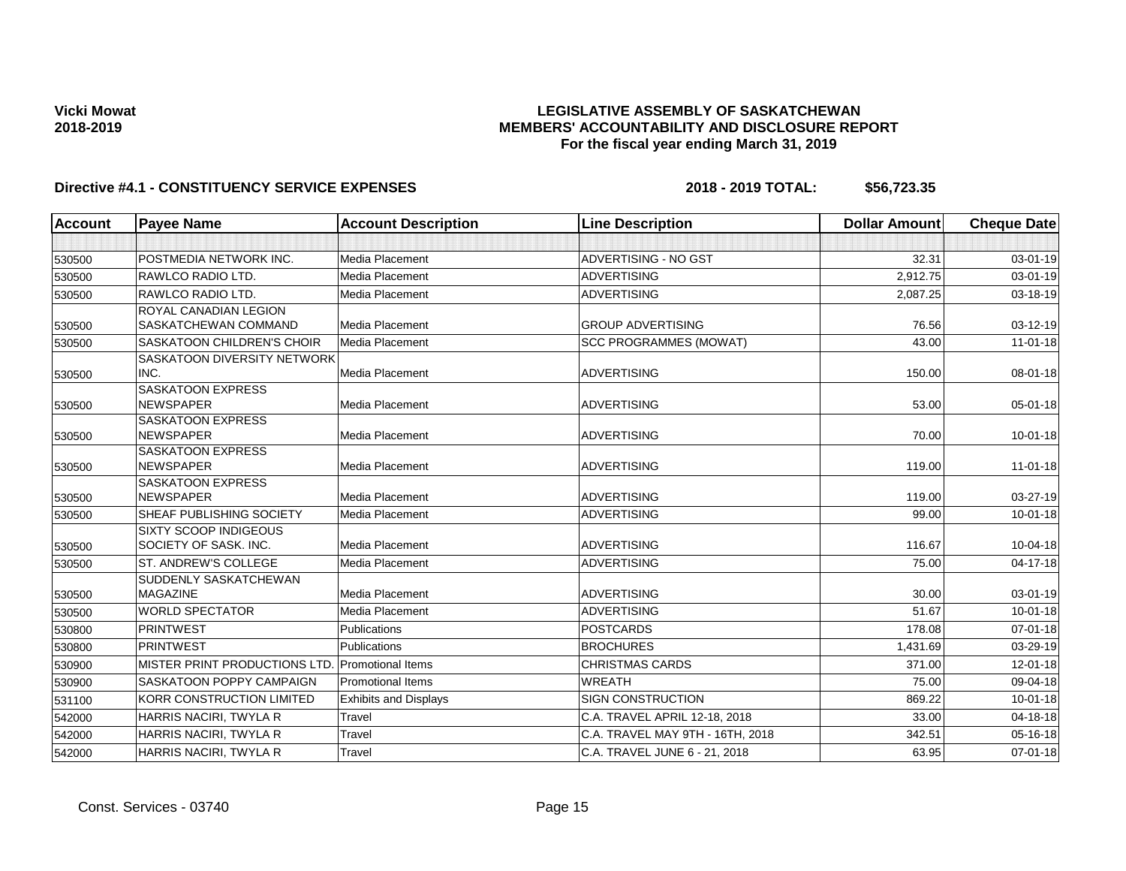### **LEGISLATIVE ASSEMBLY OF SASKATCHEWAN MEMBERS' ACCOUNTABILITY AND DISCLOSURE REPORT For the fiscal year ending March 31, 2019**

| <b>Account</b> | <b>Payee Name</b>                              | <b>Account Description</b>   | <b>Line Description</b>          | <b>Dollar Amount</b> | <b>Cheque Date</b> |
|----------------|------------------------------------------------|------------------------------|----------------------------------|----------------------|--------------------|
|                |                                                |                              |                                  |                      |                    |
| 530500         | POSTMEDIA NETWORK INC.                         | Media Placement              | ADVERTISING - NO GST             | 32.31                | 03-01-19           |
| 530500         | RAWLCO RADIO LTD.                              | Media Placement              | <b>ADVERTISING</b>               | 2,912.75             | 03-01-19           |
| 530500         | RAWLCO RADIO LTD.                              | Media Placement              | <b>ADVERTISING</b>               | 2.087.25             | 03-18-19           |
| 530500         | ROYAL CANADIAN LEGION<br>SASKATCHEWAN COMMAND  | Media Placement              | <b>GROUP ADVERTISING</b>         | 76.56                | $03 - 12 - 19$     |
| 530500         | <b>SASKATOON CHILDREN'S CHOIR</b>              | Media Placement              | <b>SCC PROGRAMMES (MOWAT)</b>    | 43.00                | $11-01-18$         |
| 530500         | SASKATOON DIVERSITY NETWORK<br>INC.            | Media Placement              | <b>ADVERTISING</b>               | 150.00               | 08-01-18           |
| 530500         | <b>SASKATOON EXPRESS</b><br><b>NEWSPAPER</b>   | Media Placement              | <b>ADVERTISING</b>               | 53.00                | $05 - 01 - 18$     |
| 530500         | <b>SASKATOON EXPRESS</b><br><b>NEWSPAPER</b>   | Media Placement              | <b>ADVERTISING</b>               | 70.00                | $10 - 01 - 18$     |
| 530500         | <b>SASKATOON EXPRESS</b><br><b>NEWSPAPER</b>   | Media Placement              | <b>ADVERTISING</b>               | 119.00               | $11-01-18$         |
| 530500         | <b>SASKATOON EXPRESS</b><br><b>NEWSPAPER</b>   | Media Placement              | <b>ADVERTISING</b>               | 119.00               | $03 - 27 - 19$     |
| 530500         | SHEAF PUBLISHING SOCIETY                       | Media Placement              | <b>ADVERTISING</b>               | 99.00                | $10 - 01 - 18$     |
| 530500         | SIXTY SCOOP INDIGEOUS<br>SOCIETY OF SASK. INC. | Media Placement              | <b>ADVERTISING</b>               | 116.67               | 10-04-18           |
| 530500         | ST. ANDREW'S COLLEGE                           | Media Placement              | <b>ADVERTISING</b>               | 75.00                | 04-17-18           |
| 530500         | SUDDENLY SASKATCHEWAN<br><b>MAGAZINE</b>       | Media Placement              | <b>ADVERTISING</b>               | 30.00                | 03-01-19           |
| 530500         | <b>WORLD SPECTATOR</b>                         | Media Placement              | <b>ADVERTISING</b>               | 51.67                | $10 - 01 - 18$     |
| 530800         | PRINTWEST                                      | Publications                 | POSTCARDS                        | 178.08               | $07 - 01 - 18$     |
| 530800         | <b>PRINTWEST</b>                               | <b>Publications</b>          | <b>BROCHURES</b>                 | 1,431.69             | 03-29-19           |
| 530900         | MISTER PRINT PRODUCTIONS LTD.                  | <b>Promotional Items</b>     | <b>CHRISTMAS CARDS</b>           | 371.00               | 12-01-18           |
| 530900         | <b>SASKATOON POPPY CAMPAIGN</b>                | <b>Promotional Items</b>     | <b>WREATH</b>                    | 75.00                | 09-04-18           |
| 531100         | KORR CONSTRUCTION LIMITED                      | <b>Exhibits and Displays</b> | SIGN CONSTRUCTION                | 869.22               | $10 - 01 - 18$     |
| 542000         | HARRIS NACIRI, TWYLA R                         | Travel                       | C.A. TRAVEL APRIL 12-18, 2018    | 33.00                | $04 - 18 - 18$     |
| 542000         | HARRIS NACIRI, TWYLA R                         | Travel                       | C.A. TRAVEL MAY 9TH - 16TH, 2018 | 342.51               | 05-16-18           |
| 542000         | HARRIS NACIRI, TWYLA R                         | Travel                       | C.A. TRAVEL JUNE 6 - 21, 2018    | 63.95                | 07-01-18           |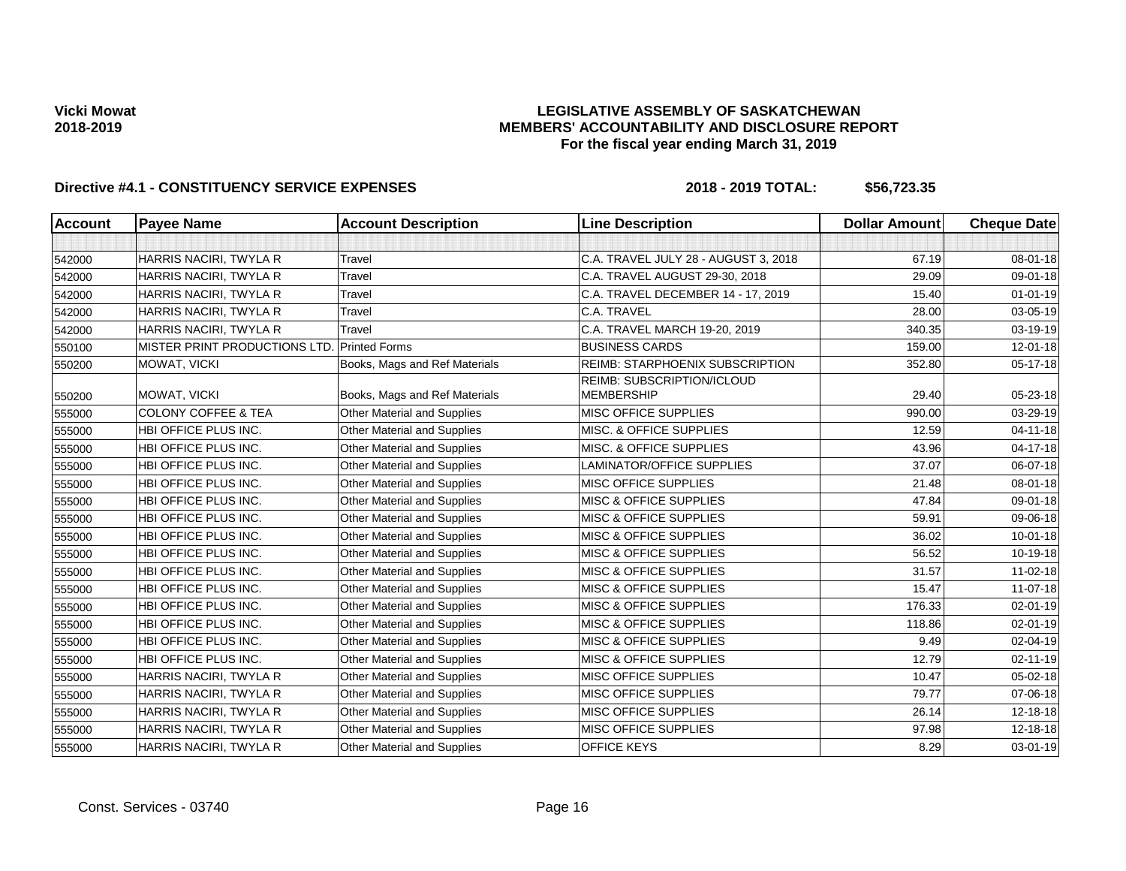### **LEGISLATIVE ASSEMBLY OF SASKATCHEWAN MEMBERS' ACCOUNTABILITY AND DISCLOSURE REPORT For the fiscal year ending March 31, 2019**

| <b>Account</b> | <b>Payee Name</b>                           | <b>Account Description</b>         | <b>Line Description</b>                         | <b>Dollar Amount</b> | <b>Cheque Date</b> |
|----------------|---------------------------------------------|------------------------------------|-------------------------------------------------|----------------------|--------------------|
|                |                                             |                                    |                                                 |                      |                    |
| 542000         | HARRIS NACIRI, TWYLA R                      | Travel                             | C.A. TRAVEL JULY 28 - AUGUST 3, 2018            | 67.19                | 08-01-18           |
| 542000         | HARRIS NACIRI, TWYLA R                      | Travel                             | C.A. TRAVEL AUGUST 29-30, 2018                  | 29.09                | 09-01-18           |
| 542000         | HARRIS NACIRI, TWYLA R                      | Travel                             | C.A. TRAVEL DECEMBER 14 - 17, 2019              | 15.40                | $01 - 01 - 19$     |
| 542000         | HARRIS NACIRI, TWYLA R                      | Travel                             | C.A. TRAVEL                                     | 28.00                | 03-05-19           |
| 542000         | HARRIS NACIRI, TWYLA R                      | <b>Travel</b>                      | C.A. TRAVEL MARCH 19-20, 2019                   | 340.35               | 03-19-19           |
| 550100         | MISTER PRINT PRODUCTIONS LTD. Printed Forms |                                    | <b>BUSINESS CARDS</b>                           | 159.00               | $12 - 01 - 18$     |
| 550200         | MOWAT, VICKI                                | Books, Mags and Ref Materials      | <b>REIMB: STARPHOENIX SUBSCRIPTION</b>          | 352.80               | $05-17-18$         |
| 550200         | MOWAT, VICKI                                | Books, Mags and Ref Materials      | REIMB: SUBSCRIPTION/ICLOUD<br><b>MEMBERSHIP</b> | 29.40                | 05-23-18           |
| 555000         | <b>COLONY COFFEE &amp; TEA</b>              | <b>Other Material and Supplies</b> | <b>MISC OFFICE SUPPLIES</b>                     | 990.00               | 03-29-19           |
| 555000         | HBI OFFICE PLUS INC.                        | Other Material and Supplies        | MISC. & OFFICE SUPPLIES                         | 12.59                | $04 - 11 - 18$     |
| 555000         | HBI OFFICE PLUS INC.                        | Other Material and Supplies        | MISC. & OFFICE SUPPLIES                         | 43.96                | $04 - 17 - 18$     |
| 555000         | HBI OFFICE PLUS INC.                        | <b>Other Material and Supplies</b> | <b>LAMINATOR/OFFICE SUPPLIES</b>                | 37.07                | 06-07-18           |
| 555000         | HBI OFFICE PLUS INC.                        | Other Material and Supplies        | MISC OFFICE SUPPLIES                            | 21.48                | 08-01-18           |
| 555000         | HBI OFFICE PLUS INC.                        | <b>Other Material and Supplies</b> | <b>MISC &amp; OFFICE SUPPLIES</b>               | 47.84                | 09-01-18           |
| 555000         | HBI OFFICE PLUS INC.                        | Other Material and Supplies        | <b>MISC &amp; OFFICE SUPPLIES</b>               | 59.91                | 09-06-18           |
| 555000         | HBI OFFICE PLUS INC.                        | Other Material and Supplies        | <b>MISC &amp; OFFICE SUPPLIES</b>               | 36.02                | $10 - 01 - 18$     |
| 555000         | HBI OFFICE PLUS INC.                        | Other Material and Supplies        | <b>MISC &amp; OFFICE SUPPLIES</b>               | 56.52                | 10-19-18           |
| 555000         | HBI OFFICE PLUS INC.                        | Other Material and Supplies        | <b>MISC &amp; OFFICE SUPPLIES</b>               | 31.57                | $11 - 02 - 18$     |
| 555000         | HBI OFFICE PLUS INC.                        | <b>Other Material and Supplies</b> | <b>MISC &amp; OFFICE SUPPLIES</b>               | 15.47                | $11-07-18$         |
| 555000         | HBI OFFICE PLUS INC.                        | Other Material and Supplies        | <b>MISC &amp; OFFICE SUPPLIES</b>               | 176.33               | 02-01-19           |
| 555000         | HBI OFFICE PLUS INC.                        | Other Material and Supplies        | <b>MISC &amp; OFFICE SUPPLIES</b>               | 118.86               | $02 - 01 - 19$     |
| 555000         | HBI OFFICE PLUS INC.                        | Other Material and Supplies        | <b>MISC &amp; OFFICE SUPPLIES</b>               | 9.49                 | 02-04-19           |
| 555000         | HBI OFFICE PLUS INC.                        | Other Material and Supplies        | <b>MISC &amp; OFFICE SUPPLIES</b>               | 12.79                | $02 - 11 - 19$     |
| 555000         | HARRIS NACIRI, TWYLA R                      | Other Material and Supplies        | MISC OFFICE SUPPLIES                            | 10.47                | 05-02-18           |
| 555000         | HARRIS NACIRI, TWYLA R                      | <b>Other Material and Supplies</b> | MISC OFFICE SUPPLIES                            | 79.77                | 07-06-18           |
| 555000         | HARRIS NACIRI, TWYLA R                      | Other Material and Supplies        | <b>MISC OFFICE SUPPLIES</b>                     | 26.14                | $12 - 18 - 18$     |
| 555000         | HARRIS NACIRI, TWYLA R                      | <b>Other Material and Supplies</b> | <b>MISC OFFICE SUPPLIES</b>                     | 97.98                | 12-18-18           |
| 555000         | HARRIS NACIRI, TWYLA R                      | Other Material and Supplies        | <b>OFFICE KEYS</b>                              | 8.29                 | $03 - 01 - 19$     |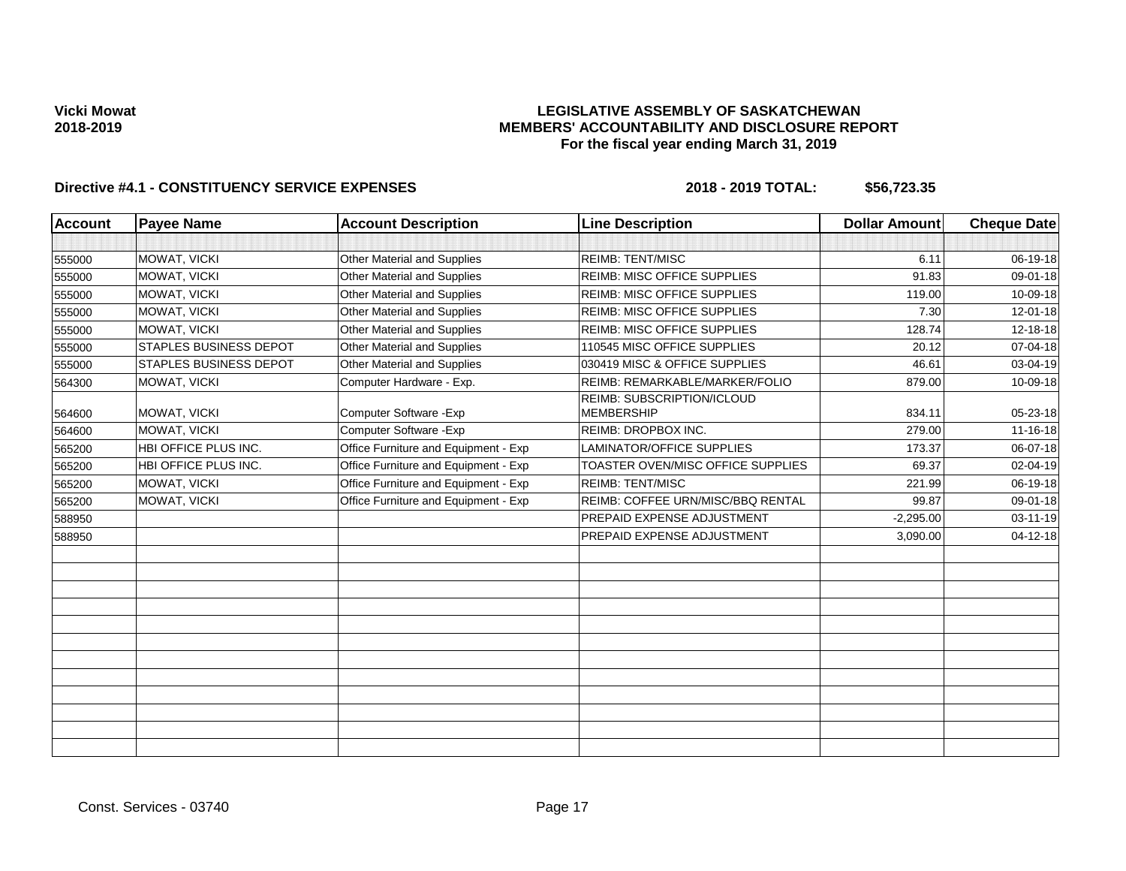### **LEGISLATIVE ASSEMBLY OF SASKATCHEWAN MEMBERS' ACCOUNTABILITY AND DISCLOSURE REPORT For the fiscal year ending March 31, 2019**

| <b>Payee Name</b>             | <b>Account Description</b>           | <b>Line Description</b>                         | <b>Dollar Amount</b> | <b>Cheque Date</b> |
|-------------------------------|--------------------------------------|-------------------------------------------------|----------------------|--------------------|
|                               |                                      |                                                 |                      |                    |
| MOWAT, VICKI                  | Other Material and Supplies          | <b>REIMB: TENT/MISC</b>                         | 6.11                 | 06-19-18           |
| MOWAT, VICKI                  | Other Material and Supplies          | <b>REIMB: MISC OFFICE SUPPLIES</b>              | 91.83                | 09-01-18           |
| MOWAT, VICKI                  | Other Material and Supplies          | REIMB: MISC OFFICE SUPPLIES                     | 119.00               | 10-09-18           |
| MOWAT, VICKI                  | Other Material and Supplies          | REIMB: MISC OFFICE SUPPLIES                     | 7.30                 | 12-01-18           |
| MOWAT, VICKI                  | Other Material and Supplies          | REIMB: MISC OFFICE SUPPLIES                     | 128.74               | 12-18-18           |
| <b>STAPLES BUSINESS DEPOT</b> | Other Material and Supplies          | 110545 MISC OFFICE SUPPLIES                     | 20.12                | 07-04-18           |
| <b>STAPLES BUSINESS DEPOT</b> | Other Material and Supplies          | 030419 MISC & OFFICE SUPPLIES                   | 46.61                | 03-04-19           |
| MOWAT, VICKI                  | Computer Hardware - Exp.             | REIMB: REMARKABLE/MARKER/FOLIO                  | 879.00               | 10-09-18           |
| MOWAT, VICKI                  | Computer Software - Exp              | REIMB: SUBSCRIPTION/ICLOUD<br><b>MEMBERSHIP</b> | 834.11               | 05-23-18           |
| <b>MOWAT. VICKI</b>           | Computer Software - Exp              | <b>REIMB: DROPBOX INC.</b>                      | 279.00               | $11 - 16 - 18$     |
| HBI OFFICE PLUS INC.          | Office Furniture and Equipment - Exp | LAMINATOR/OFFICE SUPPLIES                       | 173.37               | 06-07-18           |
| HBI OFFICE PLUS INC.          | Office Furniture and Equipment - Exp | TOASTER OVEN/MISC OFFICE SUPPLIES               | 69.37                | 02-04-19           |
| MOWAT, VICKI                  | Office Furniture and Equipment - Exp | <b>REIMB: TENT/MISC</b>                         | 221.99               | 06-19-18           |
| MOWAT, VICKI                  | Office Furniture and Equipment - Exp | <b>REIMB: COFFEE URN/MISC/BBQ RENTAL</b>        | 99.87                | 09-01-18           |
|                               |                                      | PREPAID EXPENSE ADJUSTMENT                      | $-2,295.00$          | 03-11-19           |
|                               |                                      | PREPAID EXPENSE ADJUSTMENT                      | 3,090.00             | $04 - 12 - 18$     |
|                               |                                      |                                                 |                      |                    |
|                               |                                      |                                                 |                      |                    |
|                               |                                      |                                                 |                      |                    |
|                               |                                      |                                                 |                      |                    |
|                               |                                      |                                                 |                      |                    |
|                               |                                      |                                                 |                      |                    |
|                               |                                      |                                                 |                      |                    |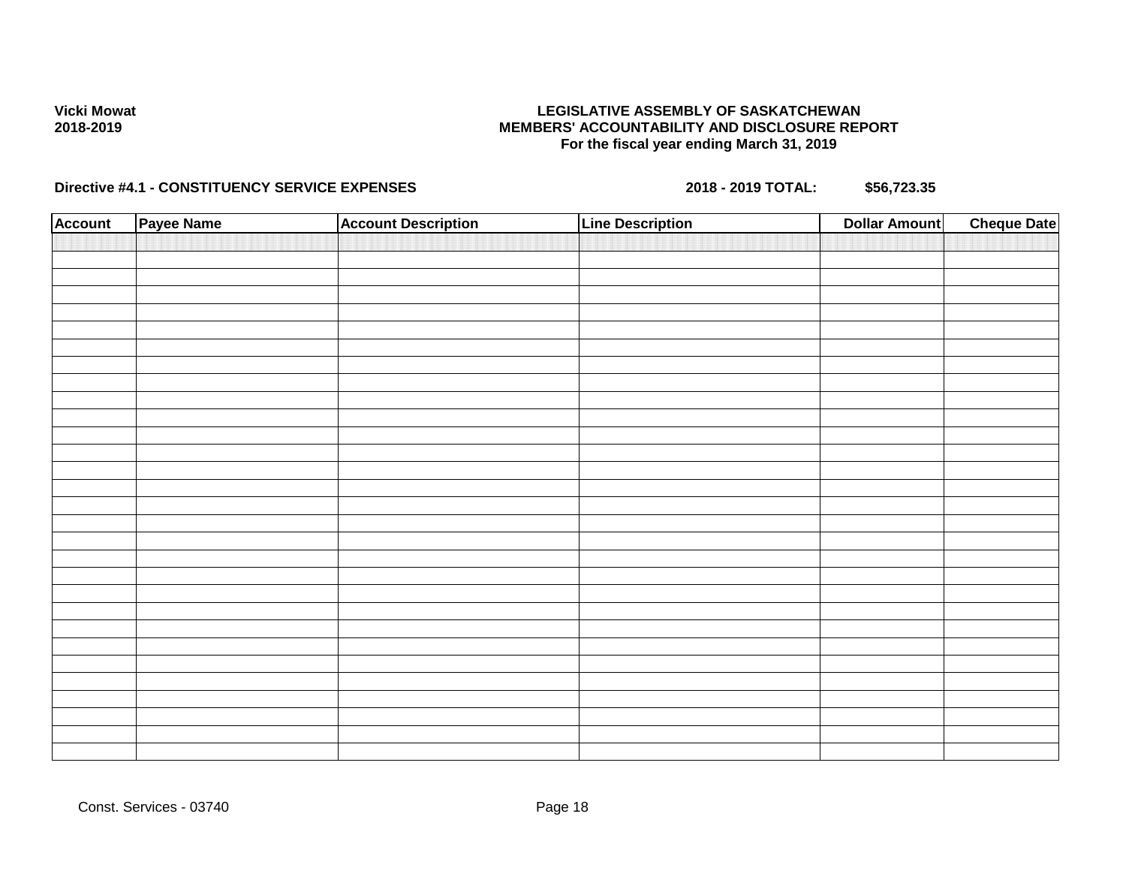### **LEGISLATIVE ASSEMBLY OF SASKATCHEWAN MEMBERS' ACCOUNTABILITY AND DISCLOSURE REPORT For the fiscal year ending March 31, 2019**

| <b>Account</b> | Payee Name | <b>Account Description</b> | <b>Line Description</b> | <b>Dollar Amount</b> | <b>Cheque Date</b> |
|----------------|------------|----------------------------|-------------------------|----------------------|--------------------|
|                |            |                            |                         |                      |                    |
|                |            |                            |                         |                      |                    |
|                |            |                            |                         |                      |                    |
|                |            |                            |                         |                      |                    |
|                |            |                            |                         |                      |                    |
|                |            |                            |                         |                      |                    |
|                |            |                            |                         |                      |                    |
|                |            |                            |                         |                      |                    |
|                |            |                            |                         |                      |                    |
|                |            |                            |                         |                      |                    |
|                |            |                            |                         |                      |                    |
|                |            |                            |                         |                      |                    |
|                |            |                            |                         |                      |                    |
|                |            |                            |                         |                      |                    |
|                |            |                            |                         |                      |                    |
|                |            |                            |                         |                      |                    |
|                |            |                            |                         |                      |                    |
|                |            |                            |                         |                      |                    |
|                |            |                            |                         |                      |                    |
|                |            |                            |                         |                      |                    |
|                |            |                            |                         |                      |                    |
|                |            |                            |                         |                      |                    |
|                |            |                            |                         |                      |                    |
|                |            |                            |                         |                      |                    |
|                |            |                            |                         |                      |                    |
|                |            |                            |                         |                      |                    |
|                |            |                            |                         |                      |                    |
|                |            |                            |                         |                      |                    |
|                |            |                            |                         |                      |                    |
|                |            |                            |                         |                      |                    |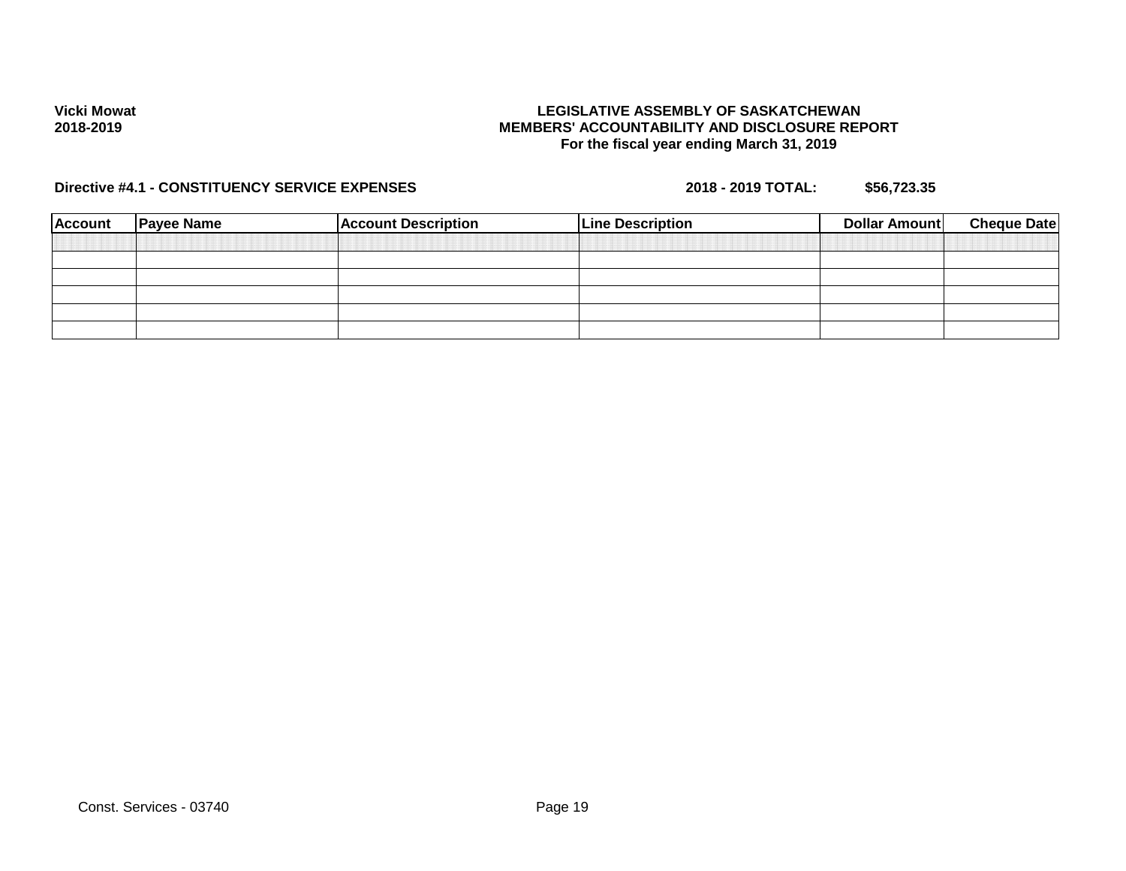### **LEGISLATIVE ASSEMBLY OF SASKATCHEWAN MEMBERS' ACCOUNTABILITY AND DISCLOSURE REPORT For the fiscal year ending March 31, 2019**

| <b>Account</b> | <b>Payee Name</b> | <b>Account Description</b> | <b>Line Description</b> | Dollar Amount | <b>Cheque Date</b> |
|----------------|-------------------|----------------------------|-------------------------|---------------|--------------------|
|                |                   |                            |                         |               |                    |
|                |                   |                            |                         |               |                    |
|                |                   |                            |                         |               |                    |
|                |                   |                            |                         |               |                    |
|                |                   |                            |                         |               |                    |
|                |                   |                            |                         |               |                    |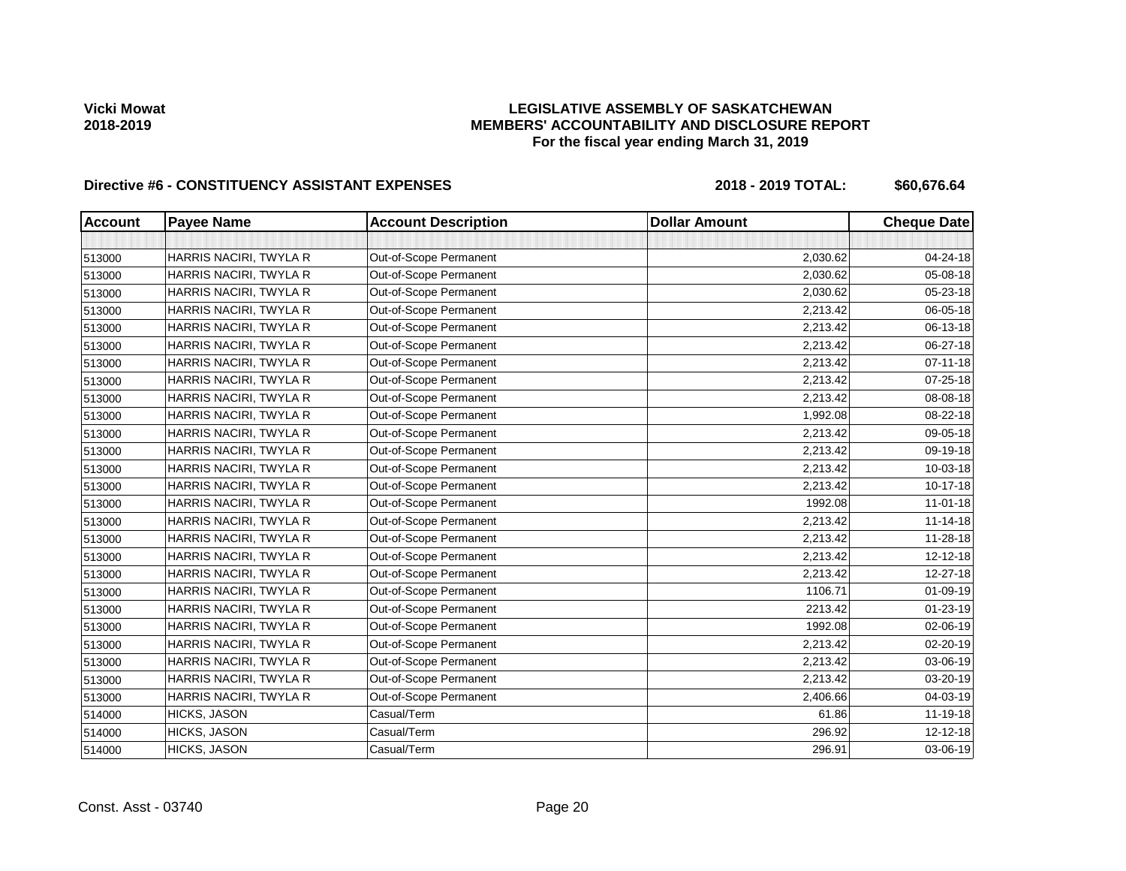## **LEGISLATIVE ASSEMBLY OF SASKATCHEWAN MEMBERS' ACCOUNTABILITY AND DISCLOSURE REPORT For the fiscal year ending March 31, 2019**

| <b>Account</b> | <b>Payee Name</b>      | <b>Account Description</b> | <b>Dollar Amount</b> | <b>Cheque Date</b> |
|----------------|------------------------|----------------------------|----------------------|--------------------|
|                |                        |                            |                      |                    |
| 513000         | HARRIS NACIRI, TWYLA R | Out-of-Scope Permanent     | 2,030.62             | 04-24-18           |
| 513000         | HARRIS NACIRI, TWYLA R | Out-of-Scope Permanent     | 2,030.62             | 05-08-18           |
| 513000         | HARRIS NACIRI, TWYLA R | Out-of-Scope Permanent     | 2,030.62             | $05 - 23 - 18$     |
| 513000         | HARRIS NACIRI, TWYLA R | Out-of-Scope Permanent     | 2,213.42             | 06-05-18           |
| 513000         | HARRIS NACIRI, TWYLA R | Out-of-Scope Permanent     | 2,213.42             | 06-13-18           |
| 513000         | HARRIS NACIRI, TWYLA R | Out-of-Scope Permanent     | 2,213.42             | 06-27-18           |
| 513000         | HARRIS NACIRI, TWYLA R | Out-of-Scope Permanent     | 2,213.42             | $07 - 11 - 18$     |
| 513000         | HARRIS NACIRI, TWYLA R | Out-of-Scope Permanent     | 2,213.42             | 07-25-18           |
| 513000         | HARRIS NACIRI, TWYLA R | Out-of-Scope Permanent     | 2,213.42             | 08-08-18           |
| 513000         | HARRIS NACIRI, TWYLA R | Out-of-Scope Permanent     | 1,992.08             | 08-22-18           |
| 513000         | HARRIS NACIRI, TWYLA R | Out-of-Scope Permanent     | 2,213.42             | 09-05-18           |
| 513000         | HARRIS NACIRI, TWYLA R | Out-of-Scope Permanent     | 2,213.42             | 09-19-18           |
| 513000         | HARRIS NACIRI, TWYLA R | Out-of-Scope Permanent     | 2,213.42             | 10-03-18           |
| 513000         | HARRIS NACIRI, TWYLA R | Out-of-Scope Permanent     | 2,213.42             | 10-17-18           |
| 513000         | HARRIS NACIRI, TWYLA R | Out-of-Scope Permanent     | 1992.08              | $11-01-18$         |
| 513000         | HARRIS NACIRI, TWYLA R | Out-of-Scope Permanent     | 2,213.42             | $11 - 14 - 18$     |
| 513000         | HARRIS NACIRI, TWYLA R | Out-of-Scope Permanent     | 2,213.42             | $11 - 28 - 18$     |
| 513000         | HARRIS NACIRI, TWYLA R | Out-of-Scope Permanent     | 2,213.42             | $12 - 12 - 18$     |
| 513000         | HARRIS NACIRI, TWYLA R | Out-of-Scope Permanent     | 2,213.42             | 12-27-18           |
| 513000         | HARRIS NACIRI, TWYLA R | Out-of-Scope Permanent     | 1106.71              | 01-09-19           |
| 513000         | HARRIS NACIRI, TWYLA R | Out-of-Scope Permanent     | 2213.42              | 01-23-19           |
| 513000         | HARRIS NACIRI, TWYLA R | Out-of-Scope Permanent     | 1992.08              | 02-06-19           |
| 513000         | HARRIS NACIRI, TWYLA R | Out-of-Scope Permanent     | 2,213.42             | 02-20-19           |
| 513000         | HARRIS NACIRI, TWYLA R | Out-of-Scope Permanent     | 2,213.42             | 03-06-19           |
| 513000         | HARRIS NACIRI, TWYLA R | Out-of-Scope Permanent     | 2,213.42             | 03-20-19           |
| 513000         | HARRIS NACIRI, TWYLA R | Out-of-Scope Permanent     | 2,406.66             | 04-03-19           |
| 514000         | HICKS, JASON           | Casual/Term                | 61.86                | $11 - 19 - 18$     |
| 514000         | HICKS, JASON           | Casual/Term                | 296.92               | $12 - 12 - 18$     |
| 514000         | HICKS, JASON           | Casual/Term                | 296.91               | 03-06-19           |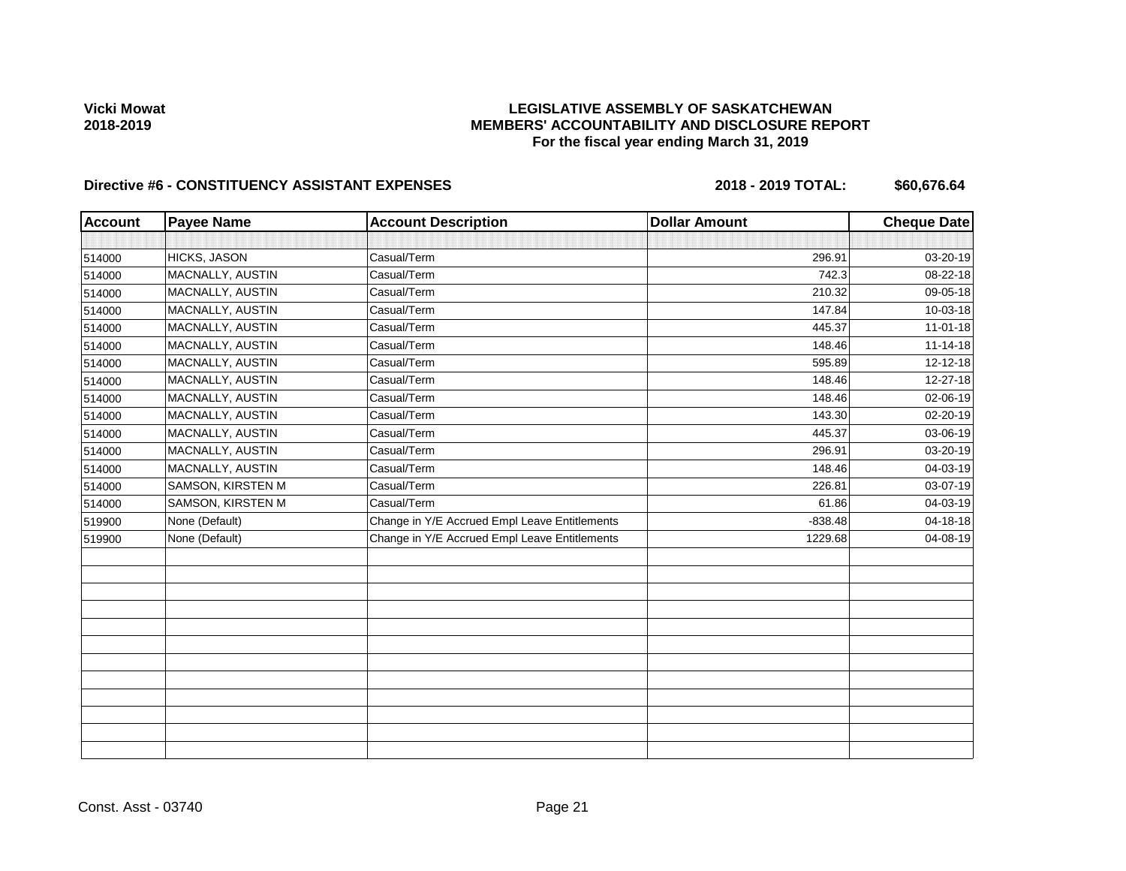## **LEGISLATIVE ASSEMBLY OF SASKATCHEWAN MEMBERS' ACCOUNTABILITY AND DISCLOSURE REPORT For the fiscal year ending March 31, 2019**

| <b>Account</b> | <b>Payee Name</b>   | <b>Account Description</b>                    | <b>Dollar Amount</b> | <b>Cheque Date</b> |
|----------------|---------------------|-----------------------------------------------|----------------------|--------------------|
|                |                     |                                               |                      |                    |
| 514000         | <b>HICKS, JASON</b> | Casual/Term                                   | 296.91               | 03-20-19           |
| 514000         | MACNALLY, AUSTIN    | Casual/Term                                   | 742.3                | 08-22-18           |
| 514000         | MACNALLY, AUSTIN    | Casual/Term                                   | 210.32               | 09-05-18           |
| 514000         | MACNALLY, AUSTIN    | Casual/Term                                   | 147.84               | 10-03-18           |
| 514000         | MACNALLY, AUSTIN    | Casual/Term                                   | 445.37               | $11-01-18$         |
| 514000         | MACNALLY, AUSTIN    | Casual/Term                                   | 148.46               | $11 - 14 - 18$     |
| 514000         | MACNALLY, AUSTIN    | Casual/Term                                   | 595.89               | 12-12-18           |
| 514000         | MACNALLY, AUSTIN    | Casual/Term                                   | 148.46               | 12-27-18           |
| 514000         | MACNALLY, AUSTIN    | Casual/Term                                   | 148.46               | 02-06-19           |
| 514000         | MACNALLY, AUSTIN    | Casual/Term                                   | 143.30               | 02-20-19           |
| 514000         | MACNALLY, AUSTIN    | Casual/Term                                   | 445.37               | 03-06-19           |
| 514000         | MACNALLY, AUSTIN    | Casual/Term                                   | 296.91               | 03-20-19           |
| 514000         | MACNALLY, AUSTIN    | Casual/Term                                   | 148.46               | 04-03-19           |
| 514000         | SAMSON, KIRSTEN M   | Casual/Term                                   | 226.81               | 03-07-19           |
| 514000         | SAMSON, KIRSTEN M   | Casual/Term                                   | 61.86                | 04-03-19           |
| 519900         | None (Default)      | Change in Y/E Accrued Empl Leave Entitlements | $-838.48$            | 04-18-18           |
| 519900         | None (Default)      | Change in Y/E Accrued Empl Leave Entitlements | 1229.68              | 04-08-19           |
|                |                     |                                               |                      |                    |
|                |                     |                                               |                      |                    |
|                |                     |                                               |                      |                    |
|                |                     |                                               |                      |                    |
|                |                     |                                               |                      |                    |
|                |                     |                                               |                      |                    |
|                |                     |                                               |                      |                    |
|                |                     |                                               |                      |                    |
|                |                     |                                               |                      |                    |
|                |                     |                                               |                      |                    |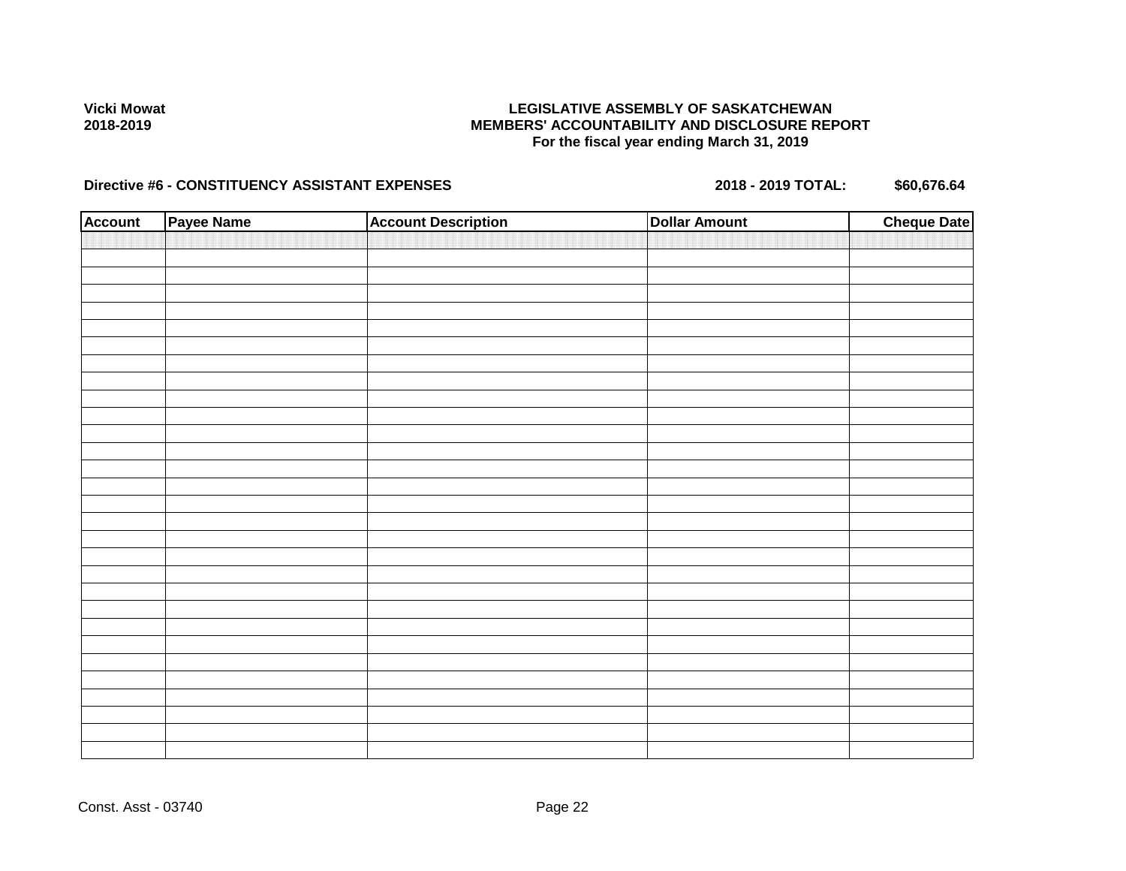### **LEGISLATIVE ASSEMBLY OF SASKATCHEWAN MEMBERS' ACCOUNTABILITY AND DISCLOSURE REPORT For the fiscal year ending March 31, 2019**

| <b>Account</b> | Payee Name | <b>Account Description</b> | <b>Dollar Amount</b> | <b>Cheque Date</b> |
|----------------|------------|----------------------------|----------------------|--------------------|
|                |            |                            |                      |                    |
|                |            |                            |                      |                    |
|                |            |                            |                      |                    |
|                |            |                            |                      |                    |
|                |            |                            |                      |                    |
|                |            |                            |                      |                    |
|                |            |                            |                      |                    |
|                |            |                            |                      |                    |
|                |            |                            |                      |                    |
|                |            |                            |                      |                    |
|                |            |                            |                      |                    |
|                |            |                            |                      |                    |
|                |            |                            |                      |                    |
|                |            |                            |                      |                    |
|                |            |                            |                      |                    |
|                |            |                            |                      |                    |
|                |            |                            |                      |                    |
|                |            |                            |                      |                    |
|                |            |                            |                      |                    |
|                |            |                            |                      |                    |
|                |            |                            |                      |                    |
|                |            |                            |                      |                    |
|                |            |                            |                      |                    |
|                |            |                            |                      |                    |
|                |            |                            |                      |                    |
|                |            |                            |                      |                    |
|                |            |                            |                      |                    |
|                |            |                            |                      |                    |
|                |            |                            |                      |                    |
|                |            |                            |                      |                    |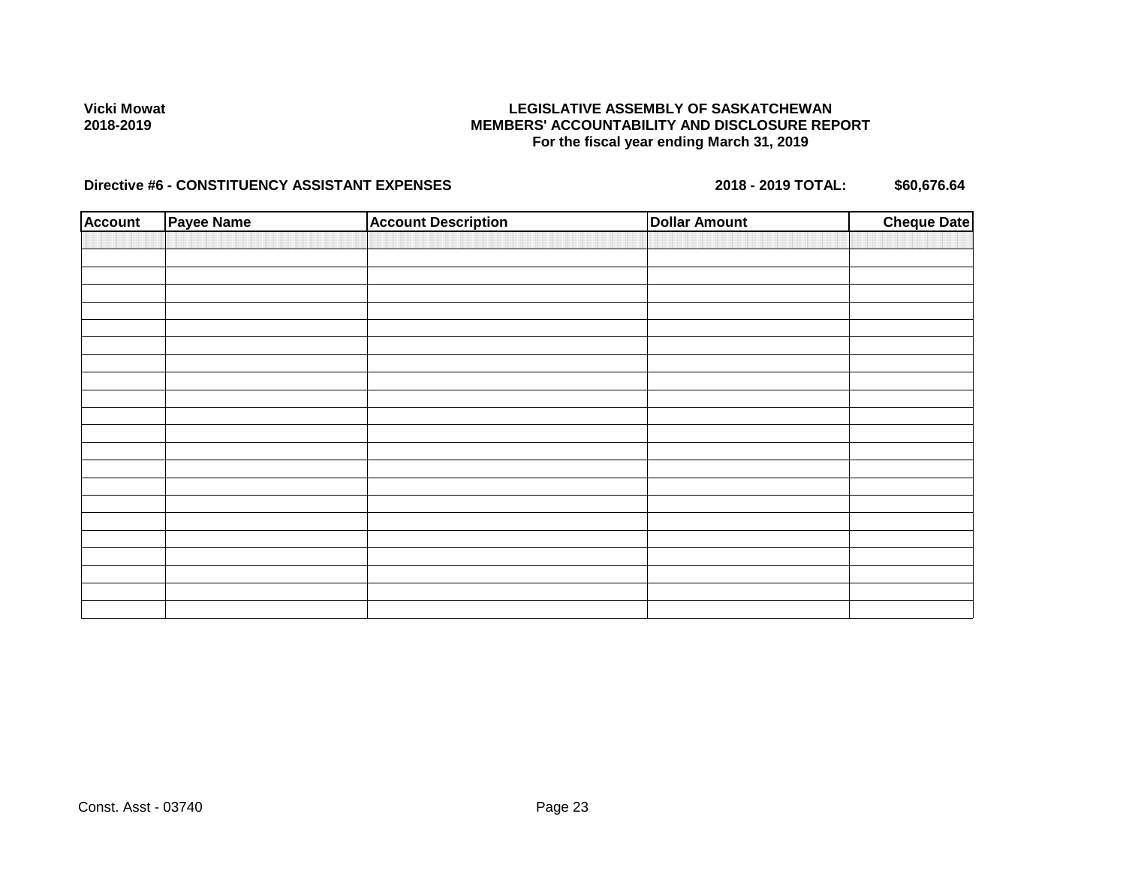### **LEGISLATIVE ASSEMBLY OF SASKATCHEWAN MEMBERS' ACCOUNTABILITY AND DISCLOSURE REPORT For the fiscal year ending March 31, 2019**

| <b>Account</b> | Payee Name | <b>Account Description</b> | <b>Dollar Amount</b> | <b>Cheque Date</b> |
|----------------|------------|----------------------------|----------------------|--------------------|
|                |            |                            |                      |                    |
|                |            |                            |                      |                    |
|                |            |                            |                      |                    |
|                |            |                            |                      |                    |
|                |            |                            |                      |                    |
|                |            |                            |                      |                    |
|                |            |                            |                      |                    |
|                |            |                            |                      |                    |
|                |            |                            |                      |                    |
|                |            |                            |                      |                    |
|                |            |                            |                      |                    |
|                |            |                            |                      |                    |
|                |            |                            |                      |                    |
|                |            |                            |                      |                    |
|                |            |                            |                      |                    |
|                |            |                            |                      |                    |
|                |            |                            |                      |                    |
|                |            |                            |                      |                    |
|                |            |                            |                      |                    |
|                |            |                            |                      |                    |